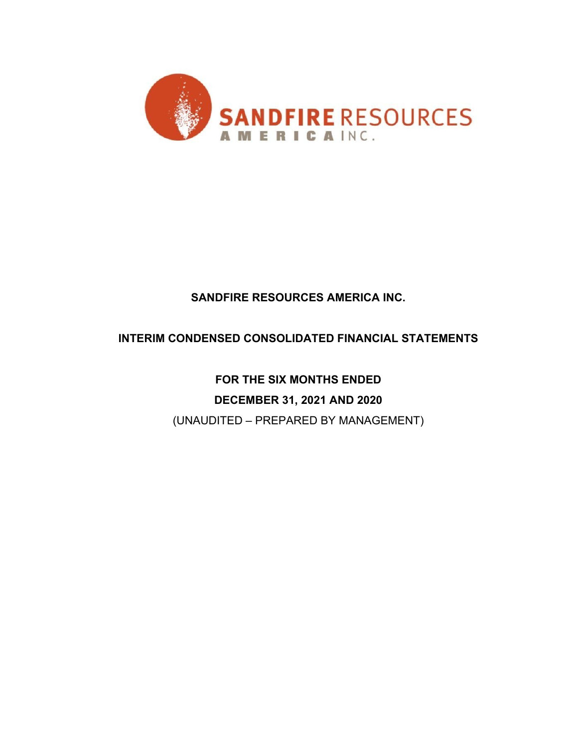

# **SANDFIRE RESOURCES AMERICA INC.**

# **INTERIM CONDENSED CONSOLIDATED FINANCIAL STATEMENTS**

**FOR THE SIX MONTHS ENDED DECEMBER 31, 2021 AND 2020** (UNAUDITED – PREPARED BY MANAGEMENT)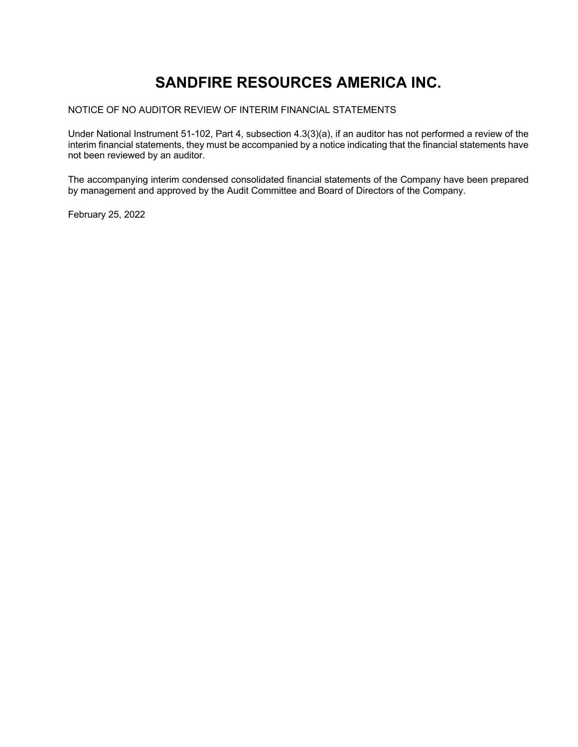# **SANDFIRE RESOURCES AMERICA INC.**

### NOTICE OF NO AUDITOR REVIEW OF INTERIM FINANCIAL STATEMENTS

Under National Instrument 51-102, Part 4, subsection 4.3(3)(a), if an auditor has not performed a review of the interim financial statements, they must be accompanied by a notice indicating that the financial statements have not been reviewed by an auditor.

The accompanying interim condensed consolidated financial statements of the Company have been prepared by management and approved by the Audit Committee and Board of Directors of the Company.

February 25, 2022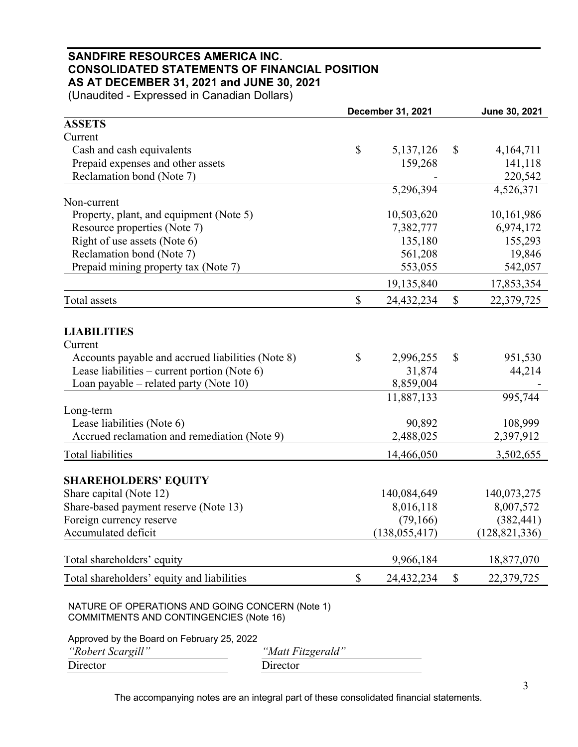# **SANDFIRE RESOURCES AMERICA INC. CONSOLIDATED STATEMENTS OF FINANCIAL POSITION AS AT DECEMBER 31, 2021 and JUNE 30, 2021**

(Unaudited - Expressed in Canadian Dollars)

| $\mathbb{S}$ | 5,137,126<br>159,268<br>5,296,394<br>10,503,620<br>7,382,777<br>135,180<br>561,208 | \$                                                                                                                                        | 4,164,711<br>141,118<br>220,542<br>4,526,371<br>10,161,986<br>6,974,172 |
|--------------|------------------------------------------------------------------------------------|-------------------------------------------------------------------------------------------------------------------------------------------|-------------------------------------------------------------------------|
|              |                                                                                    |                                                                                                                                           |                                                                         |
|              |                                                                                    |                                                                                                                                           |                                                                         |
|              |                                                                                    |                                                                                                                                           |                                                                         |
|              |                                                                                    |                                                                                                                                           |                                                                         |
|              |                                                                                    |                                                                                                                                           |                                                                         |
|              |                                                                                    |                                                                                                                                           |                                                                         |
|              |                                                                                    |                                                                                                                                           |                                                                         |
|              |                                                                                    |                                                                                                                                           |                                                                         |
|              |                                                                                    |                                                                                                                                           |                                                                         |
|              |                                                                                    |                                                                                                                                           | 155,293                                                                 |
|              |                                                                                    |                                                                                                                                           | 19,846                                                                  |
|              | 553,055                                                                            |                                                                                                                                           | 542,057                                                                 |
|              | 19,135,840                                                                         |                                                                                                                                           | 17,853,354                                                              |
| $\mathbb{S}$ | 24,432,234                                                                         | \$                                                                                                                                        | 22,379,725                                                              |
|              |                                                                                    |                                                                                                                                           |                                                                         |
|              |                                                                                    |                                                                                                                                           |                                                                         |
|              |                                                                                    |                                                                                                                                           | 951,530                                                                 |
|              |                                                                                    |                                                                                                                                           | 44,214                                                                  |
|              |                                                                                    |                                                                                                                                           |                                                                         |
|              |                                                                                    |                                                                                                                                           | 995,744                                                                 |
|              |                                                                                    |                                                                                                                                           |                                                                         |
|              |                                                                                    |                                                                                                                                           | 108,999                                                                 |
|              |                                                                                    |                                                                                                                                           | 2,397,912                                                               |
|              | 14,466,050                                                                         |                                                                                                                                           | 3,502,655                                                               |
|              |                                                                                    |                                                                                                                                           |                                                                         |
|              |                                                                                    |                                                                                                                                           | 140,073,275                                                             |
|              |                                                                                    |                                                                                                                                           | 8,007,572                                                               |
|              |                                                                                    |                                                                                                                                           | (382, 441)                                                              |
|              | (138, 055, 417)                                                                    |                                                                                                                                           | (128, 821, 336)                                                         |
|              |                                                                                    |                                                                                                                                           | 18,877,070                                                              |
|              |                                                                                    |                                                                                                                                           | 22,379,725                                                              |
|              | $\mathbb{S}$<br>\$                                                                 | 2,996,255<br>31,874<br>8,859,004<br>11,887,133<br>90,892<br>2,488,025<br>140,084,649<br>8,016,118<br>(79, 166)<br>9,966,184<br>24,432,234 | \$<br>\$                                                                |

COMMITMENTS AND CONTINGENCIES (Note 16)

Approved by the Board on February 25, 2022

| "Robert Scargill" | "Matt Fitzgerald" |
|-------------------|-------------------|
| Director          | Director          |

The accompanying notes are an integral part of these consolidated financial statements.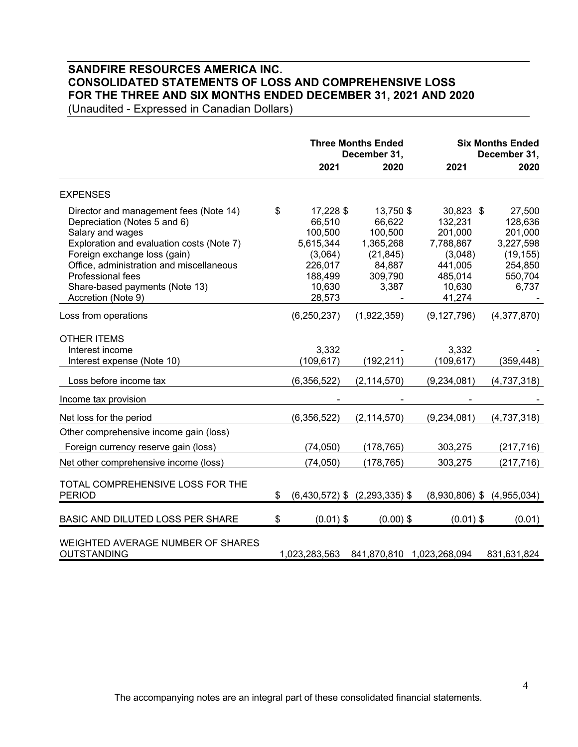# **SANDFIRE RESOURCES AMERICA INC. CONSOLIDATED STATEMENTS OF LOSS AND COMPREHENSIVE LOSS FOR THE THREE AND SIX MONTHS ENDED DECEMBER 31, 2021 AND 2020**

(Unaudited - Expressed in Canadian Dollars)

|                                                                                                                                                                                                                                                                                                  | <b>Three Months Ended</b><br>December 31, |                                                                                                  |                                                                                        | <b>Six Months Ended</b><br>December 31,                                                           |                                                                                       |
|--------------------------------------------------------------------------------------------------------------------------------------------------------------------------------------------------------------------------------------------------------------------------------------------------|-------------------------------------------|--------------------------------------------------------------------------------------------------|----------------------------------------------------------------------------------------|---------------------------------------------------------------------------------------------------|---------------------------------------------------------------------------------------|
|                                                                                                                                                                                                                                                                                                  |                                           | 2021                                                                                             | 2020                                                                                   | 2021                                                                                              | 2020                                                                                  |
| <b>EXPENSES</b>                                                                                                                                                                                                                                                                                  |                                           |                                                                                                  |                                                                                        |                                                                                                   |                                                                                       |
| Director and management fees (Note 14)<br>Depreciation (Notes 5 and 6)<br>Salary and wages<br>Exploration and evaluation costs (Note 7)<br>Foreign exchange loss (gain)<br>Office, administration and miscellaneous<br>Professional fees<br>Share-based payments (Note 13)<br>Accretion (Note 9) | \$                                        | 17,228 \$<br>66,510<br>100,500<br>5,615,344<br>(3,064)<br>226,017<br>188,499<br>10,630<br>28,573 | 13,750 \$<br>66,622<br>100,500<br>1,365,268<br>(21, 845)<br>84,887<br>309,790<br>3,387 | 30,823 \$<br>132,231<br>201,000<br>7,788,867<br>(3,048)<br>441,005<br>485,014<br>10,630<br>41,274 | 27,500<br>128,636<br>201,000<br>3,227,598<br>(19, 155)<br>254,850<br>550,704<br>6,737 |
| Loss from operations                                                                                                                                                                                                                                                                             |                                           | (6, 250, 237)                                                                                    | (1,922,359)                                                                            | (9, 127, 796)                                                                                     | (4,377,870)                                                                           |
| <b>OTHER ITEMS</b><br>Interest income<br>Interest expense (Note 10)                                                                                                                                                                                                                              |                                           | 3,332<br>(109, 617)                                                                              | (192, 211)                                                                             | 3,332<br>(109, 617)                                                                               | (359, 448)                                                                            |
| Loss before income tax                                                                                                                                                                                                                                                                           |                                           | (6,356,522)                                                                                      | (2, 114, 570)                                                                          | (9,234,081)                                                                                       | (4,737,318)                                                                           |
| Income tax provision                                                                                                                                                                                                                                                                             |                                           |                                                                                                  |                                                                                        |                                                                                                   |                                                                                       |
| Net loss for the period<br>Other comprehensive income gain (loss)<br>Foreign currency reserve gain (loss)                                                                                                                                                                                        |                                           | (6,356,522)<br>(74, 050)                                                                         | (2, 114, 570)<br>(178, 765)                                                            | (9, 234, 081)<br>303,275                                                                          | (4,737,318)<br>(217, 716)                                                             |
| Net other comprehensive income (loss)                                                                                                                                                                                                                                                            |                                           | (74, 050)                                                                                        | (178, 765)                                                                             | 303,275                                                                                           | (217, 716)                                                                            |
| TOTAL COMPREHENSIVE LOSS FOR THE<br><b>PERIOD</b>                                                                                                                                                                                                                                                | \$                                        | $(6,430,572)$ \$ $(2,293,335)$ \$                                                                |                                                                                        | $(8,930,806)$ \$ $(4,955,034)$                                                                    |                                                                                       |
| BASIC AND DILUTED LOSS PER SHARE                                                                                                                                                                                                                                                                 | \$                                        | $(0.01)$ \$                                                                                      | $(0.00)$ \$                                                                            | $(0.01)$ \$                                                                                       | (0.01)                                                                                |
| WEIGHTED AVERAGE NUMBER OF SHARES<br><b>OUTSTANDING</b>                                                                                                                                                                                                                                          |                                           | 1,023,283,563                                                                                    |                                                                                        | 841,870,810 1,023,268,094                                                                         | 831,631,824                                                                           |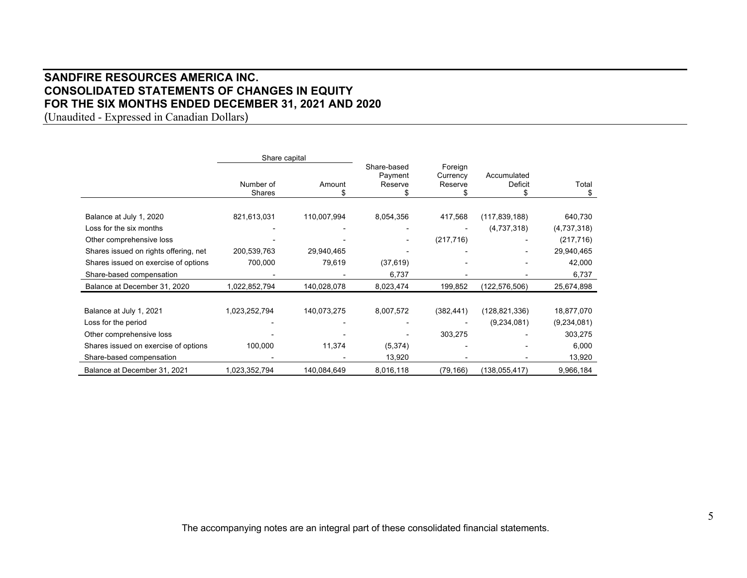# **SANDFIRE RESOURCES AMERICA INC. CONSOLIDATED STATEMENTS OF CHANGES IN EQUITY FOR THE SIX MONTHS ENDED DECEMBER 31, 2021 AND 2020**

(Unaudited - Expressed in Canadian Dollars)

|                                       | Share capital       |             |                                   |                                |                              |             |
|---------------------------------------|---------------------|-------------|-----------------------------------|--------------------------------|------------------------------|-------------|
|                                       | Number of<br>Shares | Amount      | Share-based<br>Payment<br>Reserve | Foreign<br>Currency<br>Reserve | Accumulated<br>Deficit<br>\$ | Total<br>\$ |
|                                       |                     |             |                                   |                                |                              |             |
| Balance at July 1, 2020               | 821,613,031         | 110,007,994 | 8,054,356                         | 417,568                        | (117, 839, 188)              | 640,730     |
| Loss for the six months               |                     |             |                                   |                                | (4,737,318)                  | (4,737,318) |
| Other comprehensive loss              |                     |             |                                   | (217, 716)                     |                              | (217, 716)  |
| Shares issued on rights offering, net | 200,539,763         | 29,940,465  |                                   |                                |                              | 29,940,465  |
| Shares issued on exercise of options  | 700,000             | 79,619      | (37, 619)                         |                                |                              | 42,000      |
| Share-based compensation              |                     |             | 6,737                             |                                |                              | 6,737       |
| Balance at December 31, 2020          | 1,022,852,794       | 140,028,078 | 8,023,474                         | 199,852                        | (122,576,506)                | 25,674,898  |
|                                       |                     |             |                                   |                                |                              |             |
| Balance at July 1, 2021               | 1,023,252,794       | 140,073,275 | 8,007,572                         | (382, 441)                     | (128, 821, 336)              | 18,877,070  |
| Loss for the period                   |                     |             |                                   |                                | (9,234,081)                  | (9,234,081) |
| Other comprehensive loss              |                     |             |                                   | 303,275                        |                              | 303,275     |
| Shares issued on exercise of options  | 100,000             | 11,374      | (5,374)                           |                                |                              | 6,000       |
| Share-based compensation              |                     |             | 13,920                            |                                |                              | 13,920      |
| Balance at December 31, 2021          | 1,023,352,794       | 140,084,649 | 8,016,118                         | (79, 166)                      | (138,055,417)                | 9,966,184   |

The accompanying notes are an integral part of these consolidated financial statements.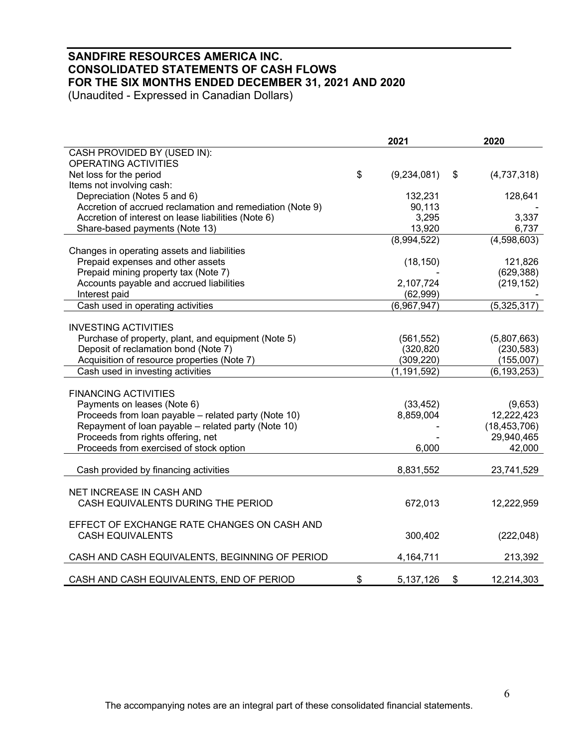# **SANDFIRE RESOURCES AMERICA INC. CONSOLIDATED STATEMENTS OF CASH FLOWS FOR THE SIX MONTHS ENDED DECEMBER 31, 2021 AND 2020**

(Unaudited - Expressed in Canadian Dollars)

|                                                           | 2021              | 2020                     |
|-----------------------------------------------------------|-------------------|--------------------------|
| CASH PROVIDED BY (USED IN):                               |                   |                          |
| OPERATING ACTIVITIES                                      |                   |                          |
| Net loss for the period                                   | \$<br>(9,234,081) | \$<br>(4,737,318)        |
| Items not involving cash:                                 |                   |                          |
| Depreciation (Notes 5 and 6)                              | 132,231           | 128,641                  |
| Accretion of accrued reclamation and remediation (Note 9) | 90,113            |                          |
| Accretion of interest on lease liabilities (Note 6)       | 3,295             | 3,337                    |
| Share-based payments (Note 13)                            | 13,920            | 6,737                    |
|                                                           | (8,994,522)       | $\overline{(4,598,603)}$ |
| Changes in operating assets and liabilities               |                   |                          |
| Prepaid expenses and other assets                         | (18, 150)         | 121,826                  |
| Prepaid mining property tax (Note 7)                      |                   | (629, 388)               |
| Accounts payable and accrued liabilities                  | 2,107,724         | (219, 152)               |
| Interest paid                                             | (62,999)          |                          |
| Cash used in operating activities                         | (6,967,947)       | (5,325,317)              |
|                                                           |                   |                          |
| <b>INVESTING ACTIVITIES</b>                               |                   |                          |
| Purchase of property, plant, and equipment (Note 5)       | (561, 552)        | (5,807,663)              |
| Deposit of reclamation bond (Note 7)                      | (320, 820)        | (230, 583)               |
| Acquisition of resource properties (Note 7)               | (309, 220)        | (155,007)                |
| Cash used in investing activities                         | (1, 191, 592)     | (6, 193, 253)            |
|                                                           |                   |                          |
| <b>FINANCING ACTIVITIES</b>                               |                   |                          |
| Payments on leases (Note 6)                               | (33, 452)         | (9,653)                  |
| Proceeds from loan payable - related party (Note 10)      | 8,859,004         | 12,222,423               |
| Repayment of loan payable - related party (Note 10)       |                   | (18, 453, 706)           |
| Proceeds from rights offering, net                        |                   | 29,940,465               |
| Proceeds from exercised of stock option                   | 6,000             | 42,000                   |
|                                                           |                   |                          |
| Cash provided by financing activities                     | 8,831,552         | 23,741,529               |
|                                                           |                   |                          |
| <b>NET INCREASE IN CASH AND</b>                           |                   |                          |
| CASH EQUIVALENTS DURING THE PERIOD                        | 672,013           | 12,222,959               |
|                                                           |                   |                          |
| EFFECT OF EXCHANGE RATE CHANGES ON CASH AND               |                   |                          |
| <b>CASH EQUIVALENTS</b>                                   | 300,402           | (222, 048)               |
|                                                           |                   |                          |
| CASH AND CASH EQUIVALENTS, BEGINNING OF PERIOD            | 4,164,711         | 213,392                  |
|                                                           |                   |                          |
| CASH AND CASH EQUIVALENTS, END OF PERIOD                  | \$<br>5,137,126   | \$<br>12,214,303         |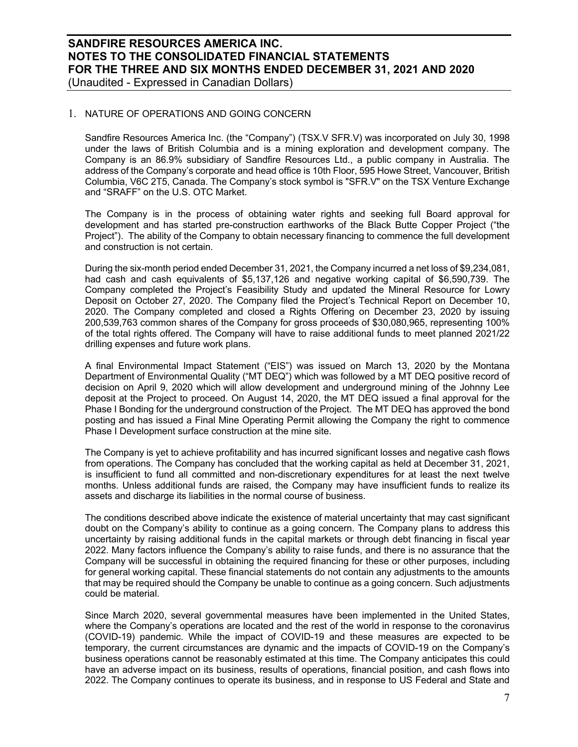1. NATURE OF OPERATIONS AND GOING CONCERN

Sandfire Resources America Inc. (the "Company") (TSX.V SFR.V) was incorporated on July 30, 1998 under the laws of British Columbia and is a mining exploration and development company. The Company is an 86.9% subsidiary of Sandfire Resources Ltd., a public company in Australia. The address of the Company's corporate and head office is 10th Floor, 595 Howe Street, Vancouver, British Columbia, V6C 2T5, Canada. The Company's stock symbol is "SFR.V" on the TSX Venture Exchange and "SRAFF" on the U.S. OTC Market.

The Company is in the process of obtaining water rights and seeking full Board approval for development and has started pre-construction earthworks of the Black Butte Copper Project ("the Project"). The ability of the Company to obtain necessary financing to commence the full development and construction is not certain.

During the six-month period ended December 31, 2021, the Company incurred a net loss of \$9,234,081, had cash and cash equivalents of \$5,137,126 and negative working capital of \$6,590,739. The Company completed the Project's Feasibility Study and updated the Mineral Resource for Lowry Deposit on October 27, 2020. The Company filed the Project's Technical Report on December 10, 2020. The Company completed and closed a Rights Offering on December 23, 2020 by issuing 200,539,763 common shares of the Company for gross proceeds of \$30,080,965, representing 100% of the total rights offered. The Company will have to raise additional funds to meet planned 2021/22 drilling expenses and future work plans.

A final Environmental Impact Statement ("EIS") was issued on March 13, 2020 by the Montana Department of Environmental Quality ("MT DEQ") which was followed by a MT DEQ positive record of decision on April 9, 2020 which will allow development and underground mining of the Johnny Lee deposit at the Project to proceed. On August 14, 2020, the MT DEQ issued a final approval for the Phase I Bonding for the underground construction of the Project. The MT DEQ has approved the bond posting and has issued a Final Mine Operating Permit allowing the Company the right to commence Phase I Development surface construction at the mine site.

The Company is yet to achieve profitability and has incurred significant losses and negative cash flows from operations. The Company has concluded that the working capital as held at December 31, 2021, is insufficient to fund all committed and non-discretionary expenditures for at least the next twelve months. Unless additional funds are raised, the Company may have insufficient funds to realize its assets and discharge its liabilities in the normal course of business.

The conditions described above indicate the existence of material uncertainty that may cast significant doubt on the Company's ability to continue as a going concern. The Company plans to address this uncertainty by raising additional funds in the capital markets or through debt financing in fiscal year 2022. Many factors influence the Company's ability to raise funds, and there is no assurance that the Company will be successful in obtaining the required financing for these or other purposes, including for general working capital. These financial statements do not contain any adjustments to the amounts that may be required should the Company be unable to continue as a going concern. Such adjustments could be material.

Since March 2020, several governmental measures have been implemented in the United States, where the Company's operations are located and the rest of the world in response to the coronavirus (COVID-19) pandemic. While the impact of COVID-19 and these measures are expected to be temporary, the current circumstances are dynamic and the impacts of COVID-19 on the Company's business operations cannot be reasonably estimated at this time. The Company anticipates this could have an adverse impact on its business, results of operations, financial position, and cash flows into 2022. The Company continues to operate its business, and in response to US Federal and State and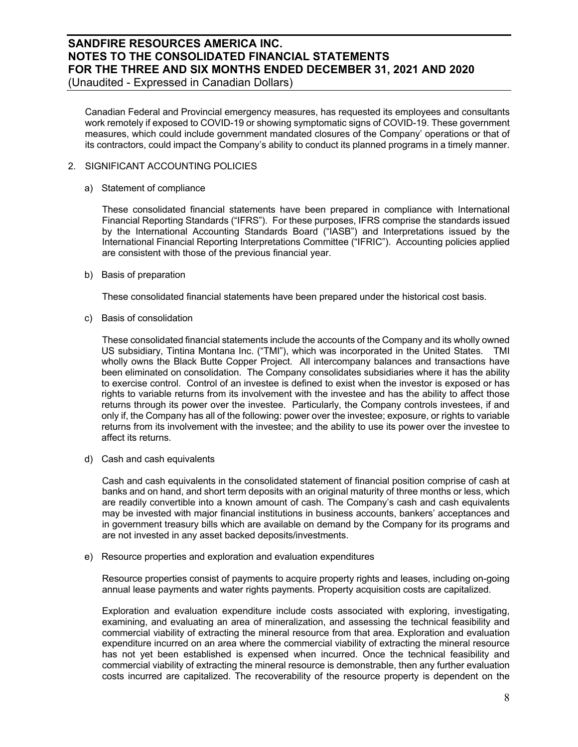# **SANDFIRE RESOURCES AMERICA INC. NOTES TO THE CONSOLIDATED FINANCIAL STATEMENTS FOR THE THREE AND SIX MONTHS ENDED DECEMBER 31, 2021 AND 2020**

(Unaudited - Expressed in Canadian Dollars)

Canadian Federal and Provincial emergency measures, has requested its employees and consultants work remotely if exposed to COVID-19 or showing symptomatic signs of COVID-19. These government measures, which could include government mandated closures of the Company' operations or that of its contractors, could impact the Company's ability to conduct its planned programs in a timely manner.

- 2. SIGNIFICANT ACCOUNTING POLICIES
	- a) Statement of compliance

These consolidated financial statements have been prepared in compliance with International Financial Reporting Standards ("IFRS"). For these purposes, IFRS comprise the standards issued by the International Accounting Standards Board ("IASB") and Interpretations issued by the International Financial Reporting Interpretations Committee ("IFRIC"). Accounting policies applied are consistent with those of the previous financial year.

b) Basis of preparation

These consolidated financial statements have been prepared under the historical cost basis.

c) Basis of consolidation

These consolidated financial statements include the accounts of the Company and its wholly owned US subsidiary, Tintina Montana Inc. ("TMI"), which was incorporated in the United States. TMI wholly owns the Black Butte Copper Project. All intercompany balances and transactions have been eliminated on consolidation. The Company consolidates subsidiaries where it has the ability to exercise control. Control of an investee is defined to exist when the investor is exposed or has rights to variable returns from its involvement with the investee and has the ability to affect those returns through its power over the investee. Particularly, the Company controls investees, if and only if, the Company has all of the following: power over the investee; exposure, or rights to variable returns from its involvement with the investee; and the ability to use its power over the investee to affect its returns.

d) Cash and cash equivalents

Cash and cash equivalents in the consolidated statement of financial position comprise of cash at banks and on hand, and short term deposits with an original maturity of three months or less, which are readily convertible into a known amount of cash. The Company's cash and cash equivalents may be invested with major financial institutions in business accounts, bankers' acceptances and in government treasury bills which are available on demand by the Company for its programs and are not invested in any asset backed deposits/investments.

e) Resource properties and exploration and evaluation expenditures

Resource properties consist of payments to acquire property rights and leases, including on-going annual lease payments and water rights payments. Property acquisition costs are capitalized.

Exploration and evaluation expenditure include costs associated with exploring, investigating, examining, and evaluating an area of mineralization, and assessing the technical feasibility and commercial viability of extracting the mineral resource from that area. Exploration and evaluation expenditure incurred on an area where the commercial viability of extracting the mineral resource has not yet been established is expensed when incurred. Once the technical feasibility and commercial viability of extracting the mineral resource is demonstrable, then any further evaluation costs incurred are capitalized. The recoverability of the resource property is dependent on the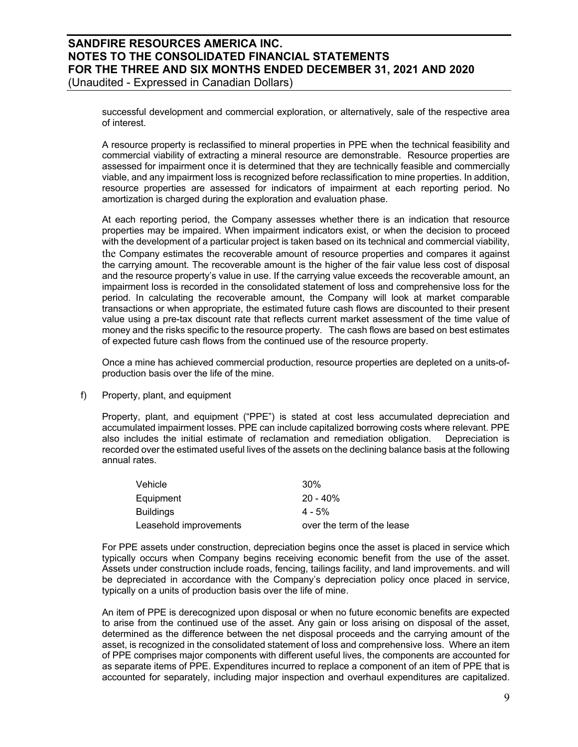successful development and commercial exploration, or alternatively, sale of the respective area of interest.

A resource property is reclassified to mineral properties in PPE when the technical feasibility and commercial viability of extracting a mineral resource are demonstrable. Resource properties are assessed for impairment once it is determined that they are technically feasible and commercially viable, and any impairment loss is recognized before reclassification to mine properties. In addition, resource properties are assessed for indicators of impairment at each reporting period. No amortization is charged during the exploration and evaluation phase.

At each reporting period, the Company assesses whether there is an indication that resource properties may be impaired. When impairment indicators exist, or when the decision to proceed with the development of a particular project is taken based on its technical and commercial viability, the Company estimates the recoverable amount of resource properties and compares it against the carrying amount. The recoverable amount is the higher of the fair value less cost of disposal and the resource property's value in use. If the carrying value exceeds the recoverable amount, an impairment loss is recorded in the consolidated statement of loss and comprehensive loss for the period. In calculating the recoverable amount, the Company will look at market comparable transactions or when appropriate, the estimated future cash flows are discounted to their present value using a pre-tax discount rate that reflects current market assessment of the time value of money and the risks specific to the resource property. The cash flows are based on best estimates of expected future cash flows from the continued use of the resource property.

Once a mine has achieved commercial production, resource properties are depleted on a units-ofproduction basis over the life of the mine.

#### f) Property, plant, and equipment

Property, plant, and equipment ("PPE") is stated at cost less accumulated depreciation and accumulated impairment losses. PPE can include capitalized borrowing costs where relevant. PPE also includes the initial estimate of reclamation and remediation obligation. Depreciation is recorded over the estimated useful lives of the assets on the declining balance basis at the following annual rates.

| Vehicle                | 30%                        |
|------------------------|----------------------------|
| Equipment              | $20 - 40%$                 |
| <b>Buildings</b>       | $4 - 5%$                   |
| Leasehold improvements | over the term of the lease |

For PPE assets under construction, depreciation begins once the asset is placed in service which typically occurs when Company begins receiving economic benefit from the use of the asset. Assets under construction include roads, fencing, tailings facility, and land improvements. and will be depreciated in accordance with the Company's depreciation policy once placed in service, typically on a units of production basis over the life of mine.

An item of PPE is derecognized upon disposal or when no future economic benefits are expected to arise from the continued use of the asset. Any gain or loss arising on disposal of the asset, determined as the difference between the net disposal proceeds and the carrying amount of the asset, is recognized in the consolidated statement of loss and comprehensive loss. Where an item of PPE comprises major components with different useful lives, the components are accounted for as separate items of PPE. Expenditures incurred to replace a component of an item of PPE that is accounted for separately, including major inspection and overhaul expenditures are capitalized.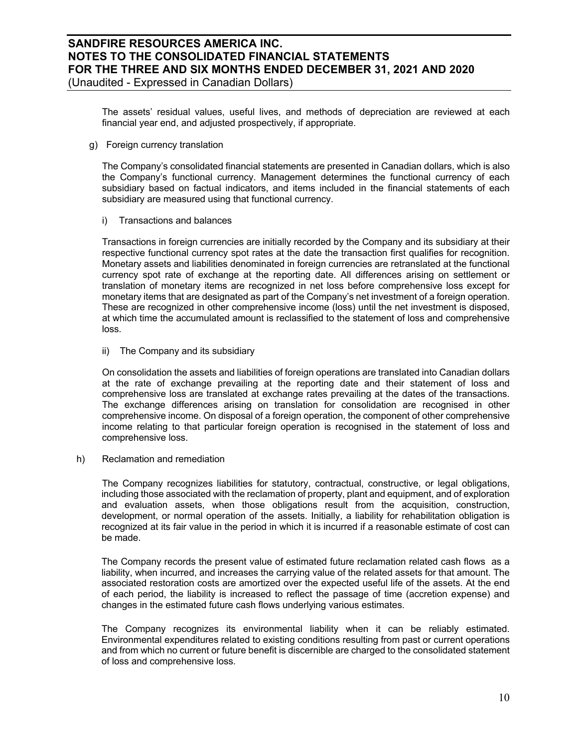The assets' residual values, useful lives, and methods of depreciation are reviewed at each financial year end, and adjusted prospectively, if appropriate.

g) Foreign currency translation

The Company's consolidated financial statements are presented in Canadian dollars, which is also the Company's functional currency. Management determines the functional currency of each subsidiary based on factual indicators, and items included in the financial statements of each subsidiary are measured using that functional currency.

i) Transactions and balances

Transactions in foreign currencies are initially recorded by the Company and its subsidiary at their respective functional currency spot rates at the date the transaction first qualifies for recognition. Monetary assets and liabilities denominated in foreign currencies are retranslated at the functional currency spot rate of exchange at the reporting date. All differences arising on settlement or translation of monetary items are recognized in net loss before comprehensive loss except for monetary items that are designated as part of the Company's net investment of a foreign operation. These are recognized in other comprehensive income (loss) until the net investment is disposed, at which time the accumulated amount is reclassified to the statement of loss and comprehensive loss.

ii) The Company and its subsidiary

On consolidation the assets and liabilities of foreign operations are translated into Canadian dollars at the rate of exchange prevailing at the reporting date and their statement of loss and comprehensive loss are translated at exchange rates prevailing at the dates of the transactions. The exchange differences arising on translation for consolidation are recognised in other comprehensive income. On disposal of a foreign operation, the component of other comprehensive income relating to that particular foreign operation is recognised in the statement of loss and comprehensive loss.

h) Reclamation and remediation

The Company recognizes liabilities for statutory, contractual, constructive, or legal obligations, including those associated with the reclamation of property, plant and equipment, and of exploration and evaluation assets, when those obligations result from the acquisition, construction, development, or normal operation of the assets. Initially, a liability for rehabilitation obligation is recognized at its fair value in the period in which it is incurred if a reasonable estimate of cost can be made.

The Company records the present value of estimated future reclamation related cash flows as a liability, when incurred, and increases the carrying value of the related assets for that amount. The associated restoration costs are amortized over the expected useful life of the assets. At the end of each period, the liability is increased to reflect the passage of time (accretion expense) and changes in the estimated future cash flows underlying various estimates.

The Company recognizes its environmental liability when it can be reliably estimated. Environmental expenditures related to existing conditions resulting from past or current operations and from which no current or future benefit is discernible are charged to the consolidated statement of loss and comprehensive loss.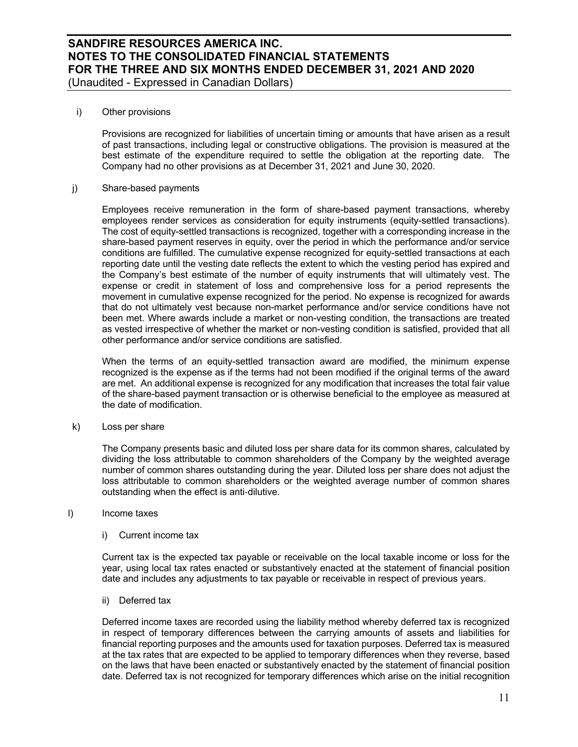#### i) Other provisions

Provisions are recognized for liabilities of uncertain timing or amounts that have arisen as a result of past transactions, including legal or constructive obligations. The provision is measured at the best estimate of the expenditure required to settle the obligation at the reporting date. The Company had no other provisions as at December 31, 2021 and June 30, 2020.

### j) Share-based payments

Employees receive remuneration in the form of share-based payment transactions, whereby employees render services as consideration for equity instruments (equity-settled transactions). The cost of equity-settled transactions is recognized, together with a corresponding increase in the share-based payment reserves in equity, over the period in which the performance and/or service conditions are fulfilled. The cumulative expense recognized for equity-settled transactions at each reporting date until the vesting date reflects the extent to which the vesting period has expired and the Company's best estimate of the number of equity instruments that will ultimately vest. The expense or credit in statement of loss and comprehensive loss for a period represents the movement in cumulative expense recognized for the period. No expense is recognized for awards that do not ultimately vest because non-market performance and/or service conditions have not been met. Where awards include a market or non-vesting condition, the transactions are treated as vested irrespective of whether the market or non-vesting condition is satisfied, provided that all other performance and/or service conditions are satisfied.

When the terms of an equity-settled transaction award are modified, the minimum expense recognized is the expense as if the terms had not been modified if the original terms of the award are met. An additional expense is recognized for any modification that increases the total fair value of the share-based payment transaction or is otherwise beneficial to the employee as measured at the date of modification.

#### k) Loss per share

The Company presents basic and diluted loss per share data for its common shares, calculated by dividing the loss attributable to common shareholders of the Company by the weighted average number of common shares outstanding during the year. Diluted loss per share does not adjust the loss attributable to common shareholders or the weighted average number of common shares outstanding when the effect is anti-dilutive.

#### l) Income taxes

#### i) Current income tax

Current tax is the expected tax payable or receivable on the local taxable income or loss for the year, using local tax rates enacted or substantively enacted at the statement of financial position date and includes any adjustments to tax payable or receivable in respect of previous years.

#### ii) Deferred tax

Deferred income taxes are recorded using the liability method whereby deferred tax is recognized in respect of temporary differences between the carrying amounts of assets and liabilities for financial reporting purposes and the amounts used for taxation purposes. Deferred tax is measured at the tax rates that are expected to be applied to temporary differences when they reverse, based on the laws that have been enacted or substantively enacted by the statement of financial position date. Deferred tax is not recognized for temporary differences which arise on the initial recognition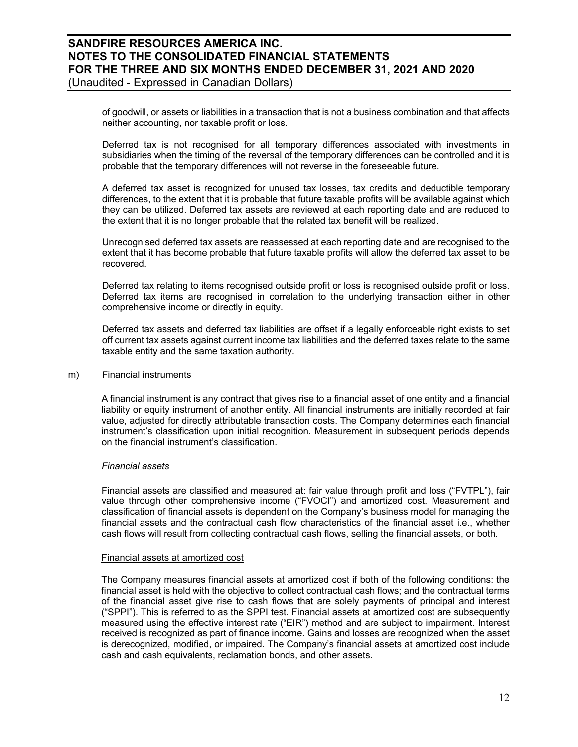of goodwill, or assets or liabilities in a transaction that is not a business combination and that affects neither accounting, nor taxable profit or loss.

Deferred tax is not recognised for all temporary differences associated with investments in subsidiaries when the timing of the reversal of the temporary differences can be controlled and it is probable that the temporary differences will not reverse in the foreseeable future.

A deferred tax asset is recognized for unused tax losses, tax credits and deductible temporary differences, to the extent that it is probable that future taxable profits will be available against which they can be utilized. Deferred tax assets are reviewed at each reporting date and are reduced to the extent that it is no longer probable that the related tax benefit will be realized.

Unrecognised deferred tax assets are reassessed at each reporting date and are recognised to the extent that it has become probable that future taxable profits will allow the deferred tax asset to be recovered.

Deferred tax relating to items recognised outside profit or loss is recognised outside profit or loss. Deferred tax items are recognised in correlation to the underlying transaction either in other comprehensive income or directly in equity.

Deferred tax assets and deferred tax liabilities are offset if a legally enforceable right exists to set off current tax assets against current income tax liabilities and the deferred taxes relate to the same taxable entity and the same taxation authority.

#### m) Financial instruments

A financial instrument is any contract that gives rise to a financial asset of one entity and a financial liability or equity instrument of another entity. All financial instruments are initially recorded at fair value, adjusted for directly attributable transaction costs. The Company determines each financial instrument's classification upon initial recognition. Measurement in subsequent periods depends on the financial instrument's classification.

#### *Financial assets*

Financial assets are classified and measured at: fair value through profit and loss ("FVTPL"), fair value through other comprehensive income ("FVOCI") and amortized cost. Measurement and classification of financial assets is dependent on the Company's business model for managing the financial assets and the contractual cash flow characteristics of the financial asset i.e., whether cash flows will result from collecting contractual cash flows, selling the financial assets, or both.

#### Financial assets at amortized cost

The Company measures financial assets at amortized cost if both of the following conditions: the financial asset is held with the objective to collect contractual cash flows; and the contractual terms of the financial asset give rise to cash flows that are solely payments of principal and interest ("SPPI"). This is referred to as the SPPI test. Financial assets at amortized cost are subsequently measured using the effective interest rate ("EIR") method and are subject to impairment. Interest received is recognized as part of finance income. Gains and losses are recognized when the asset is derecognized, modified, or impaired. The Company's financial assets at amortized cost include cash and cash equivalents, reclamation bonds, and other assets.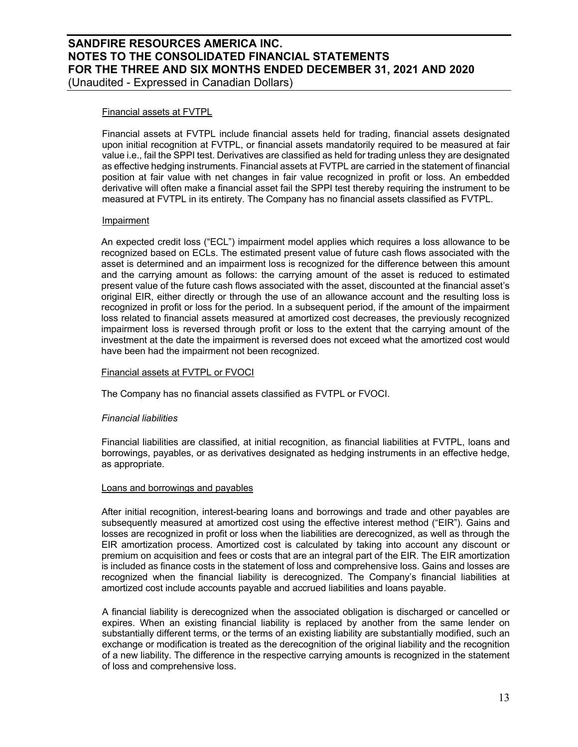#### Financial assets at FVTPL

Financial assets at FVTPL include financial assets held for trading, financial assets designated upon initial recognition at FVTPL, or financial assets mandatorily required to be measured at fair value i.e., fail the SPPI test. Derivatives are classified as held for trading unless they are designated as effective hedging instruments. Financial assets at FVTPL are carried in the statement of financial position at fair value with net changes in fair value recognized in profit or loss. An embedded derivative will often make a financial asset fail the SPPI test thereby requiring the instrument to be measured at FVTPL in its entirety. The Company has no financial assets classified as FVTPL.

#### Impairment

An expected credit loss ("ECL") impairment model applies which requires a loss allowance to be recognized based on ECLs. The estimated present value of future cash flows associated with the asset is determined and an impairment loss is recognized for the difference between this amount and the carrying amount as follows: the carrying amount of the asset is reduced to estimated present value of the future cash flows associated with the asset, discounted at the financial asset's original EIR, either directly or through the use of an allowance account and the resulting loss is recognized in profit or loss for the period. In a subsequent period, if the amount of the impairment loss related to financial assets measured at amortized cost decreases, the previously recognized impairment loss is reversed through profit or loss to the extent that the carrying amount of the investment at the date the impairment is reversed does not exceed what the amortized cost would have been had the impairment not been recognized.

#### Financial assets at FVTPL or FVOCI

The Company has no financial assets classified as FVTPL or FVOCI.

#### *Financial liabilities*

Financial liabilities are classified, at initial recognition, as financial liabilities at FVTPL, loans and borrowings, payables, or as derivatives designated as hedging instruments in an effective hedge, as appropriate.

#### Loans and borrowings and payables

After initial recognition, interest-bearing loans and borrowings and trade and other payables are subsequently measured at amortized cost using the effective interest method ("EIR"). Gains and losses are recognized in profit or loss when the liabilities are derecognized, as well as through the EIR amortization process. Amortized cost is calculated by taking into account any discount or premium on acquisition and fees or costs that are an integral part of the EIR. The EIR amortization is included as finance costs in the statement of loss and comprehensive loss. Gains and losses are recognized when the financial liability is derecognized. The Company's financial liabilities at amortized cost include accounts payable and accrued liabilities and loans payable.

A financial liability is derecognized when the associated obligation is discharged or cancelled or expires. When an existing financial liability is replaced by another from the same lender on substantially different terms, or the terms of an existing liability are substantially modified, such an exchange or modification is treated as the derecognition of the original liability and the recognition of a new liability. The difference in the respective carrying amounts is recognized in the statement of loss and comprehensive loss.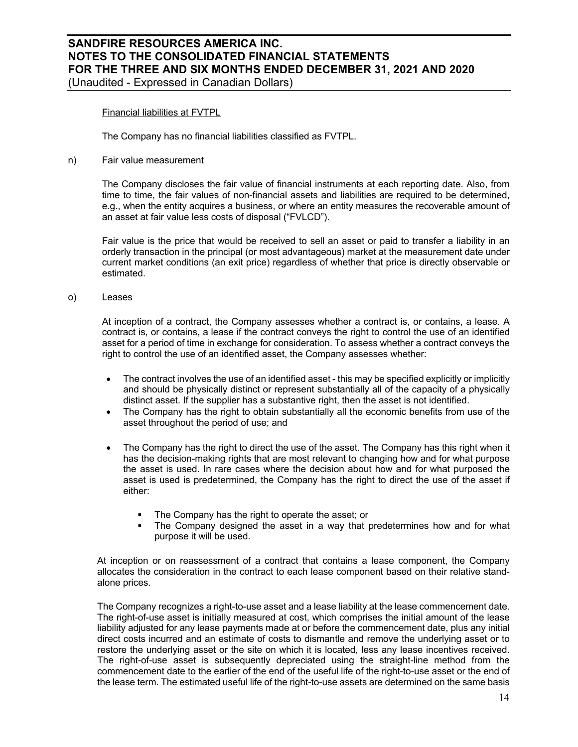## Financial liabilities at FVTPL

The Company has no financial liabilities classified as FVTPL.

### n) Fair value measurement

The Company discloses the fair value of financial instruments at each reporting date. Also, from time to time, the fair values of non-financial assets and liabilities are required to be determined, e.g., when the entity acquires a business, or where an entity measures the recoverable amount of an asset at fair value less costs of disposal ("FVLCD").

Fair value is the price that would be received to sell an asset or paid to transfer a liability in an orderly transaction in the principal (or most advantageous) market at the measurement date under current market conditions (an exit price) regardless of whether that price is directly observable or estimated.

o) Leases

At inception of a contract, the Company assesses whether a contract is, or contains, a lease. A contract is, or contains, a lease if the contract conveys the right to control the use of an identified asset for a period of time in exchange for consideration. To assess whether a contract conveys the right to control the use of an identified asset, the Company assesses whether:

- The contract involves the use of an identified asset this may be specified explicitly or implicitly and should be physically distinct or represent substantially all of the capacity of a physically distinct asset. If the supplier has a substantive right, then the asset is not identified.
- The Company has the right to obtain substantially all the economic benefits from use of the asset throughout the period of use; and
- The Company has the right to direct the use of the asset. The Company has this right when it has the decision-making rights that are most relevant to changing how and for what purpose the asset is used. In rare cases where the decision about how and for what purposed the asset is used is predetermined, the Company has the right to direct the use of the asset if either:
	- The Company has the right to operate the asset; or
	- The Company designed the asset in a way that predetermines how and for what purpose it will be used.

At inception or on reassessment of a contract that contains a lease component, the Company allocates the consideration in the contract to each lease component based on their relative standalone prices.

The Company recognizes a right-to-use asset and a lease liability at the lease commencement date. The right-of-use asset is initially measured at cost, which comprises the initial amount of the lease liability adjusted for any lease payments made at or before the commencement date, plus any initial direct costs incurred and an estimate of costs to dismantle and remove the underlying asset or to restore the underlying asset or the site on which it is located, less any lease incentives received. The right-of-use asset is subsequently depreciated using the straight-line method from the commencement date to the earlier of the end of the useful life of the right-to-use asset or the end of the lease term. The estimated useful life of the right-to-use assets are determined on the same basis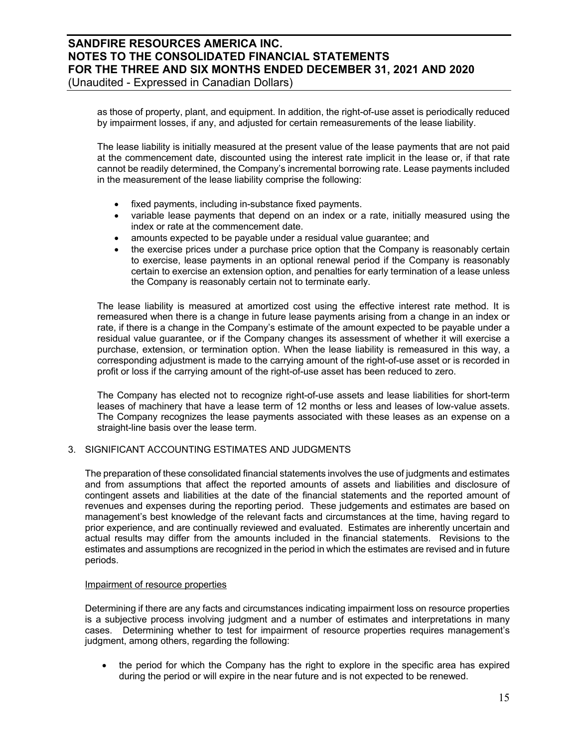as those of property, plant, and equipment. In addition, the right-of-use asset is periodically reduced by impairment losses, if any, and adjusted for certain remeasurements of the lease liability.

The lease liability is initially measured at the present value of the lease payments that are not paid at the commencement date, discounted using the interest rate implicit in the lease or, if that rate cannot be readily determined, the Company's incremental borrowing rate. Lease payments included in the measurement of the lease liability comprise the following:

- fixed payments, including in-substance fixed payments.
- variable lease payments that depend on an index or a rate, initially measured using the index or rate at the commencement date.
- amounts expected to be payable under a residual value guarantee; and
- the exercise prices under a purchase price option that the Company is reasonably certain to exercise, lease payments in an optional renewal period if the Company is reasonably certain to exercise an extension option, and penalties for early termination of a lease unless the Company is reasonably certain not to terminate early.

The lease liability is measured at amortized cost using the effective interest rate method. It is remeasured when there is a change in future lease payments arising from a change in an index or rate, if there is a change in the Company's estimate of the amount expected to be payable under a residual value guarantee, or if the Company changes its assessment of whether it will exercise a purchase, extension, or termination option. When the lease liability is remeasured in this way, a corresponding adjustment is made to the carrying amount of the right-of-use asset or is recorded in profit or loss if the carrying amount of the right-of-use asset has been reduced to zero.

The Company has elected not to recognize right-of-use assets and lease liabilities for short-term leases of machinery that have a lease term of 12 months or less and leases of low-value assets. The Company recognizes the lease payments associated with these leases as an expense on a straight-line basis over the lease term.

#### 3. SIGNIFICANT ACCOUNTING ESTIMATES AND JUDGMENTS

The preparation of these consolidated financial statements involves the use of judgments and estimates and from assumptions that affect the reported amounts of assets and liabilities and disclosure of contingent assets and liabilities at the date of the financial statements and the reported amount of revenues and expenses during the reporting period. These judgements and estimates are based on management's best knowledge of the relevant facts and circumstances at the time, having regard to prior experience, and are continually reviewed and evaluated. Estimates are inherently uncertain and actual results may differ from the amounts included in the financial statements. Revisions to the estimates and assumptions are recognized in the period in which the estimates are revised and in future periods.

#### Impairment of resource properties

Determining if there are any facts and circumstances indicating impairment loss on resource properties is a subjective process involving judgment and a number of estimates and interpretations in many cases. Determining whether to test for impairment of resource properties requires management's judgment, among others, regarding the following:

• the period for which the Company has the right to explore in the specific area has expired during the period or will expire in the near future and is not expected to be renewed.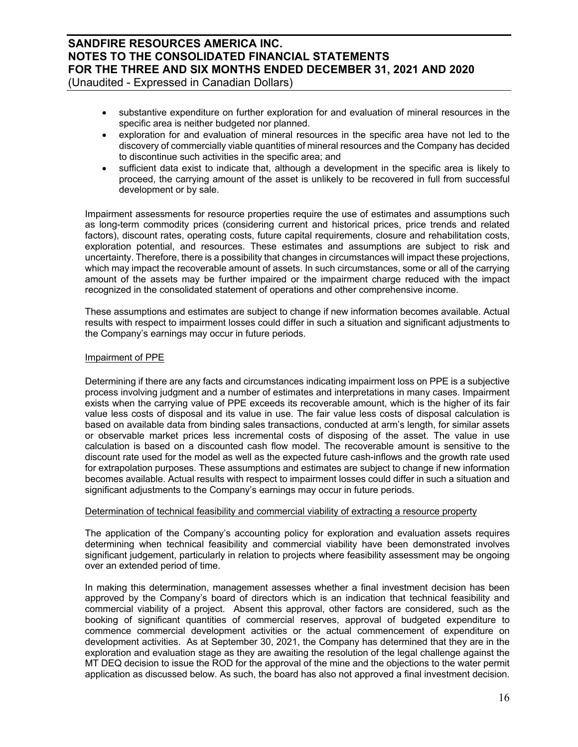# **SANDFIRE RESOURCES AMERICA INC. NOTES TO THE CONSOLIDATED FINANCIAL STATEMENTS FOR THE THREE AND SIX MONTHS ENDED DECEMBER 31, 2021 AND 2020**

(Unaudited - Expressed in Canadian Dollars)

- substantive expenditure on further exploration for and evaluation of mineral resources in the specific area is neither budgeted nor planned.
- exploration for and evaluation of mineral resources in the specific area have not led to the discovery of commercially viable quantities of mineral resources and the Company has decided to discontinue such activities in the specific area; and
- sufficient data exist to indicate that, although a development in the specific area is likely to proceed, the carrying amount of the asset is unlikely to be recovered in full from successful development or by sale.

Impairment assessments for resource properties require the use of estimates and assumptions such as long-term commodity prices (considering current and historical prices, price trends and related factors), discount rates, operating costs, future capital requirements, closure and rehabilitation costs, exploration potential, and resources. These estimates and assumptions are subject to risk and uncertainty. Therefore, there is a possibility that changes in circumstances will impact these projections, which may impact the recoverable amount of assets. In such circumstances, some or all of the carrying amount of the assets may be further impaired or the impairment charge reduced with the impact recognized in the consolidated statement of operations and other comprehensive income.

These assumptions and estimates are subject to change if new information becomes available. Actual results with respect to impairment losses could differ in such a situation and significant adjustments to the Company's earnings may occur in future periods.

### Impairment of PPE

Determining if there are any facts and circumstances indicating impairment loss on PPE is a subjective process involving judgment and a number of estimates and interpretations in many cases. Impairment exists when the carrying value of PPE exceeds its recoverable amount, which is the higher of its fair value less costs of disposal and its value in use. The fair value less costs of disposal calculation is based on available data from binding sales transactions, conducted at arm's length, for similar assets or observable market prices less incremental costs of disposing of the asset. The value in use calculation is based on a discounted cash flow model. The recoverable amount is sensitive to the discount rate used for the model as well as the expected future cash-inflows and the growth rate used for extrapolation purposes. These assumptions and estimates are subject to change if new information becomes available. Actual results with respect to impairment losses could differ in such a situation and significant adjustments to the Company's earnings may occur in future periods.

#### Determination of technical feasibility and commercial viability of extracting a resource property

The application of the Company's accounting policy for exploration and evaluation assets requires determining when technical feasibility and commercial viability have been demonstrated involves significant judgement, particularly in relation to projects where feasibility assessment may be ongoing over an extended period of time.

In making this determination, management assesses whether a final investment decision has been approved by the Company's board of directors which is an indication that technical feasibility and commercial viability of a project. Absent this approval, other factors are considered, such as the booking of significant quantities of commercial reserves, approval of budgeted expenditure to commence commercial development activities or the actual commencement of expenditure on development activities. As at September 30, 2021, the Company has determined that they are in the exploration and evaluation stage as they are awaiting the resolution of the legal challenge against the MT DEQ decision to issue the ROD for the approval of the mine and the objections to the water permit application as discussed below. As such, the board has also not approved a final investment decision.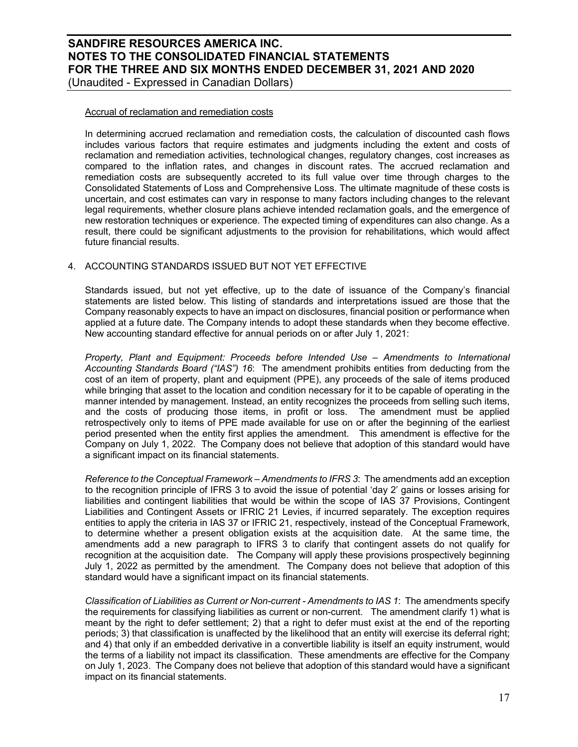Accrual of reclamation and remediation costs

In determining accrued reclamation and remediation costs, the calculation of discounted cash flows includes various factors that require estimates and judgments including the extent and costs of reclamation and remediation activities, technological changes, regulatory changes, cost increases as compared to the inflation rates, and changes in discount rates. The accrued reclamation and remediation costs are subsequently accreted to its full value over time through charges to the Consolidated Statements of Loss and Comprehensive Loss. The ultimate magnitude of these costs is uncertain, and cost estimates can vary in response to many factors including changes to the relevant legal requirements, whether closure plans achieve intended reclamation goals, and the emergence of new restoration techniques or experience. The expected timing of expenditures can also change. As a result, there could be significant adjustments to the provision for rehabilitations, which would affect future financial results.

## 4. ACCOUNTING STANDARDS ISSUED BUT NOT YET EFFECTIVE

Standards issued, but not yet effective, up to the date of issuance of the Company's financial statements are listed below. This listing of standards and interpretations issued are those that the Company reasonably expects to have an impact on disclosures, financial position or performance when applied at a future date. The Company intends to adopt these standards when they become effective. New accounting standard effective for annual periods on or after July 1, 2021:

*Property, Plant and Equipment: Proceeds before Intended Use – Amendments to International Accounting Standards Board ("IAS") 16*: The amendment prohibits entities from deducting from the cost of an item of property, plant and equipment (PPE), any proceeds of the sale of items produced while bringing that asset to the location and condition necessary for it to be capable of operating in the manner intended by management. Instead, an entity recognizes the proceeds from selling such items, and the costs of producing those items, in profit or loss. The amendment must be applied retrospectively only to items of PPE made available for use on or after the beginning of the earliest period presented when the entity first applies the amendment. This amendment is effective for the Company on July 1, 2022. The Company does not believe that adoption of this standard would have a significant impact on its financial statements.

*Reference to the Conceptual Framework – Amendments to IFRS 3*: The amendments add an exception to the recognition principle of IFRS 3 to avoid the issue of potential 'day 2' gains or losses arising for liabilities and contingent liabilities that would be within the scope of IAS 37 Provisions, Contingent Liabilities and Contingent Assets or IFRIC 21 Levies, if incurred separately. The exception requires entities to apply the criteria in IAS 37 or IFRIC 21, respectively, instead of the Conceptual Framework, to determine whether a present obligation exists at the acquisition date. At the same time, the amendments add a new paragraph to IFRS 3 to clarify that contingent assets do not qualify for recognition at the acquisition date. The Company will apply these provisions prospectively beginning July 1, 2022 as permitted by the amendment. The Company does not believe that adoption of this standard would have a significant impact on its financial statements.

*Classification of Liabilities as Current or Non-current - Amendments to IAS 1*: The amendments specify the requirements for classifying liabilities as current or non-current. The amendment clarify 1) what is meant by the right to defer settlement; 2) that a right to defer must exist at the end of the reporting periods; 3) that classification is unaffected by the likelihood that an entity will exercise its deferral right; and 4) that only if an embedded derivative in a convertible liability is itself an equity instrument, would the terms of a liability not impact its classification. These amendments are effective for the Company on July 1, 2023. The Company does not believe that adoption of this standard would have a significant impact on its financial statements.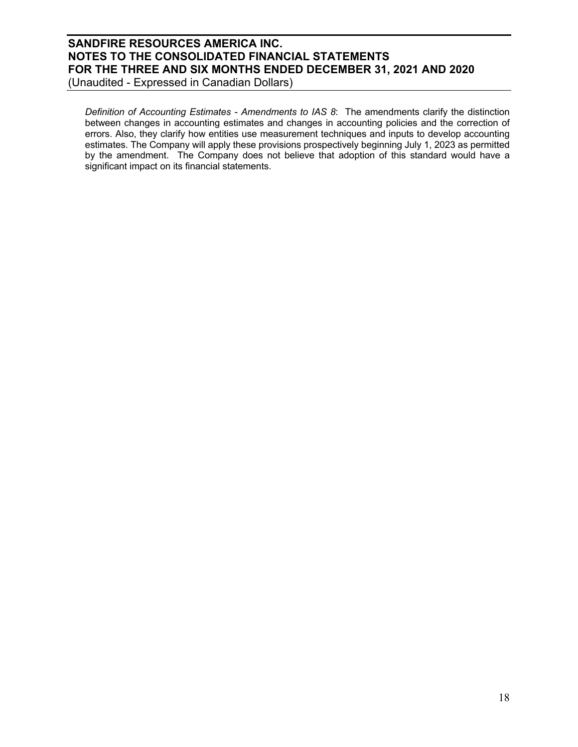*Definition of Accounting Estimates - Amendments to IAS 8*: The amendments clarify the distinction between changes in accounting estimates and changes in accounting policies and the correction of errors. Also, they clarify how entities use measurement techniques and inputs to develop accounting estimates. The Company will apply these provisions prospectively beginning July 1, 2023 as permitted by the amendment. The Company does not believe that adoption of this standard would have a significant impact on its financial statements.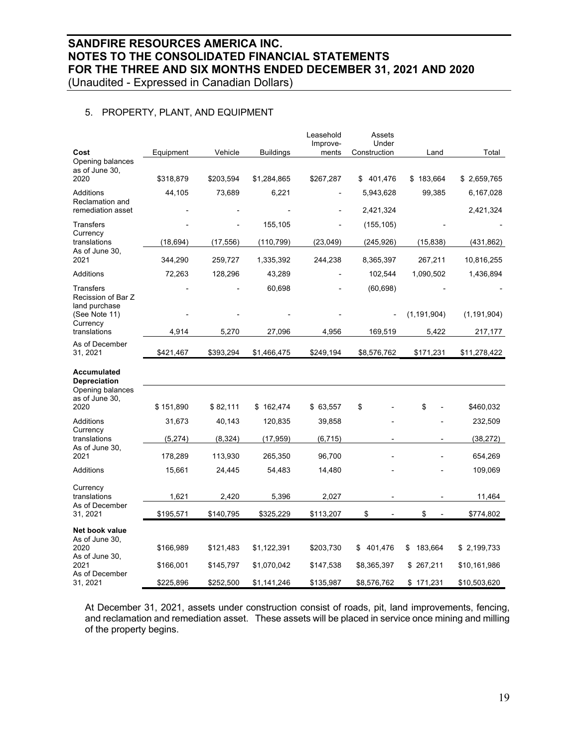## 5. PROPERTY, PLANT, AND EQUIPMENT

|                                            |           |           |                  | Leasehold<br>Improve- | Assets<br>Under |               |               |
|--------------------------------------------|-----------|-----------|------------------|-----------------------|-----------------|---------------|---------------|
| Cost                                       | Equipment | Vehicle   | <b>Buildings</b> | ments                 | Construction    | Land          | Total         |
| Opening balances<br>as of June 30,         |           |           |                  |                       |                 |               |               |
| 2020                                       | \$318,879 | \$203,594 | \$1,284,865      | \$267,287             | 401,476<br>\$   | \$183,664     | \$2,659,765   |
| Additions<br>Reclamation and               | 44,105    | 73,689    | 6,221            |                       | 5,943,628       | 99,385        | 6,167,028     |
| remediation asset                          |           |           |                  |                       | 2,421,324       |               | 2,421,324     |
| <b>Transfers</b><br>Currency               |           |           | 155,105          |                       | (155, 105)      |               |               |
| translations                               | (18, 694) | (17, 556) | (110, 799)       | (23, 049)             | (245, 926)      | (15, 838)     | (431, 862)    |
| As of June 30,<br>2021                     | 344,290   | 259,727   | 1,335,392        | 244,238               | 8,365,397       | 267,211       | 10,816,255    |
| Additions                                  | 72,263    | 128,296   | 43,289           |                       | 102,544         | 1,090,502     | 1,436,894     |
| Transfers<br>Recission of Bar Z            |           |           | 60,698           |                       | (60, 698)       |               |               |
| land purchase<br>(See Note 11)<br>Currency |           |           |                  |                       |                 | (1, 191, 904) | (1, 191, 904) |
| translations                               | 4,914     | 5,270     | 27,096           | 4,956                 | 169,519         | 5,422         | 217,177       |
| As of December<br>31, 2021                 | \$421,467 | \$393,294 | \$1,466,475      | \$249,194             | \$8,576,762     | \$171,231     | \$11,278,422  |
| Accumulated                                |           |           |                  |                       |                 |               |               |
| <b>Depreciation</b><br>Opening balances    |           |           |                  |                       |                 |               |               |
| as of June 30,<br>2020                     | \$151,890 | \$82,111  | \$162,474        | \$63,557              | \$              | \$            | \$460,032     |
| Additions                                  | 31,673    | 40,143    | 120,835          | 39,858                |                 |               | 232,509       |
| Currency<br>translations                   | (5, 274)  | (8, 324)  | (17, 959)        | (6, 715)              |                 |               | (38, 272)     |
| As of June 30,                             |           |           |                  |                       |                 |               |               |
| 2021                                       | 178,289   | 113,930   | 265,350          | 96,700                |                 |               | 654,269       |
| Additions                                  | 15,661    | 24,445    | 54,483           | 14,480                |                 |               | 109,069       |
| Currency<br>translations                   | 1,621     | 2,420     | 5,396            | 2,027                 |                 |               | 11,464        |
| As of December<br>31, 2021                 | \$195,571 | \$140,795 | \$325,229        | \$113,207             | \$              | \$            | \$774,802     |
| Net book value                             |           |           |                  |                       |                 |               |               |
| As of June 30,<br>2020<br>As of June 30,   | \$166,989 | \$121,483 | \$1,122,391      | \$203,730             | \$<br>401,476   | \$<br>183,664 | \$2,199,733   |
| 2021<br>As of December                     | \$166,001 | \$145,797 | \$1,070,042      | \$147,538             | \$8,365,397     | \$267,211     | \$10,161,986  |
| 31, 2021                                   | \$225,896 | \$252,500 | \$1,141,246      | \$135,987             | \$8,576,762     | \$171,231     | \$10,503,620  |

At December 31, 2021, assets under construction consist of roads, pit, land improvements, fencing, and reclamation and remediation asset. These assets will be placed in service once mining and milling of the property begins.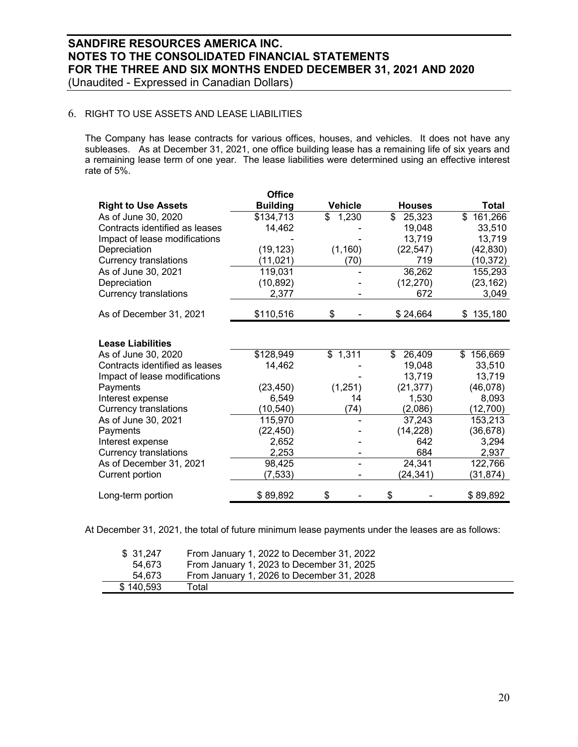## 6. RIGHT TO USE ASSETS AND LEASE LIABILITIES

The Company has lease contracts for various offices, houses, and vehicles. It does not have any subleases. As at December 31, 2021, one office building lease has a remaining life of six years and a remaining lease term of one year. The lease liabilities were determined using an effective interest rate of 5%.

|                                | <b>Office</b>   |                |               |               |
|--------------------------------|-----------------|----------------|---------------|---------------|
| <b>Right to Use Assets</b>     | <b>Building</b> | <b>Vehicle</b> | <b>Houses</b> | Total         |
| As of June 30, 2020            | \$134,713       | \$<br>1,230    | \$<br>25,323  | \$<br>161,266 |
| Contracts identified as leases | 14.462          |                | 19,048        | 33,510        |
| Impact of lease modifications  |                 |                | 13,719        | 13,719        |
| Depreciation                   | (19, 123)       | (1, 160)       | (22, 547)     | (42, 830)     |
| <b>Currency translations</b>   | (11, 021)       | (70)           | 719           | (10, 372)     |
| As of June 30, 2021            | 119,031         |                | 36,262        | 155,293       |
| Depreciation                   | (10, 892)       |                | (12, 270)     | (23, 162)     |
| <b>Currency translations</b>   | 2,377           |                | 672           | 3,049         |
| As of December 31, 2021        | \$110,516       | \$             | \$24,664      | \$135,180     |
|                                |                 |                |               |               |
| <b>Lease Liabilities</b>       |                 |                |               |               |
| As of June 30, 2020            | \$128,949       | \$1,311        | 26,409<br>\$  | \$156,669     |
| Contracts identified as leases | 14,462          |                | 19,048        | 33,510        |
| Impact of lease modifications  |                 |                | 13,719        | 13,719        |
| Payments                       | (23, 450)       | (1,251)        | (21, 377)     | (46, 078)     |
| Interest expense               | 6,549           | 14             | 1,530         | 8,093         |
| <b>Currency translations</b>   | (10, 540)       | (74)           | (2,086)       | (12,700)      |
| As of June 30, 2021            | 115,970         |                | 37,243        | 153,213       |
| Payments                       | (22, 450)       |                | (14, 228)     | (36, 678)     |
| Interest expense               | 2,652           |                | 642           | 3,294         |
| <b>Currency translations</b>   | 2,253           |                | 684           | 2,937         |
| As of December 31, 2021        | 98,425          |                | 24,341        | 122,766       |
| Current portion                | (7, 533)        |                | (24, 341)     | (31,874)      |
| Long-term portion              | \$89,892        | \$             | \$            | \$89,892      |

At December 31, 2021, the total of future minimum lease payments under the leases are as follows:

| \$31,247  | From January 1, 2022 to December 31, 2022 |  |
|-----------|-------------------------------------------|--|
| 54.673    | From January 1, 2023 to December 31, 2025 |  |
| 54.673    | From January 1, 2026 to December 31, 2028 |  |
| \$140,593 | ™otal                                     |  |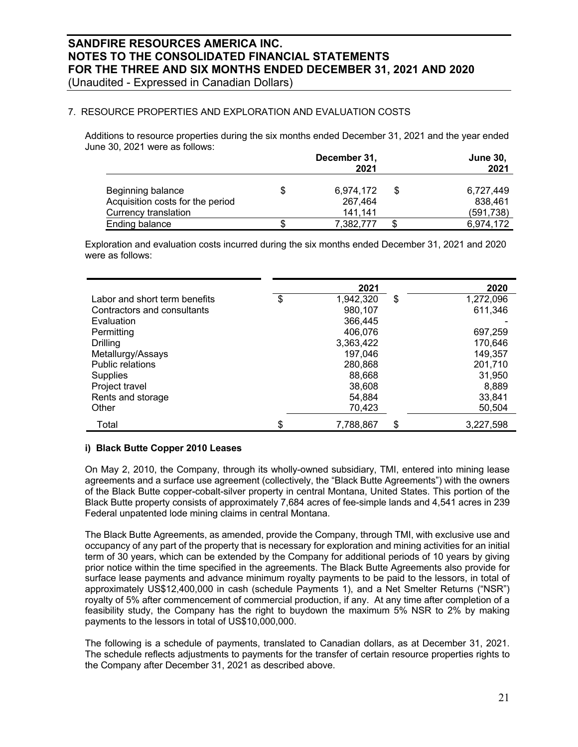## 7. RESOURCE PROPERTIES AND EXPLORATION AND EVALUATION COSTS

Additions to resource properties during the six months ended December 31, 2021 and the year ended June 30, 2021 were as follows:

|                                                          |    | December 31,<br>2021 | <b>June 30,</b><br>2021 |
|----------------------------------------------------------|----|----------------------|-------------------------|
| Beginning balance                                        | \$ | 6.974.172            | 6,727,449               |
| Acquisition costs for the period<br>Currency translation |    | 267.464<br>141.141   | 838.461<br>(591,738)    |
| <b>Ending balance</b>                                    | S  | 7,382,777            | 6,974,172               |

Exploration and evaluation costs incurred during the six months ended December 31, 2021 and 2020 were as follows:

|                               | 2021            | 2020            |
|-------------------------------|-----------------|-----------------|
| Labor and short term benefits | \$<br>1,942,320 | \$<br>1,272,096 |
| Contractors and consultants   | 980,107         | 611,346         |
| Evaluation                    | 366,445         |                 |
| Permitting                    | 406,076         | 697,259         |
| <b>Drilling</b>               | 3,363,422       | 170,646         |
| Metallurgy/Assays             | 197,046         | 149,357         |
| <b>Public relations</b>       | 280,868         | 201,710         |
| <b>Supplies</b>               | 88,668          | 31,950          |
| Project travel                | 38,608          | 8,889           |
| Rents and storage             | 54,884          | 33,841          |
| Other                         | 70,423          | 50,504          |
| Total                         | 7,788,867       | \$<br>3,227,598 |

## **i) Black Butte Copper 2010 Leases**

On May 2, 2010, the Company, through its wholly-owned subsidiary, TMI, entered into mining lease agreements and a surface use agreement (collectively, the "Black Butte Agreements") with the owners of the Black Butte copper-cobalt-silver property in central Montana, United States. This portion of the Black Butte property consists of approximately 7,684 acres of fee-simple lands and 4,541 acres in 239 Federal unpatented lode mining claims in central Montana.

The Black Butte Agreements, as amended, provide the Company, through TMI, with exclusive use and occupancy of any part of the property that is necessary for exploration and mining activities for an initial term of 30 years, which can be extended by the Company for additional periods of 10 years by giving prior notice within the time specified in the agreements. The Black Butte Agreements also provide for surface lease payments and advance minimum royalty payments to be paid to the lessors, in total of approximately US\$12,400,000 in cash (schedule Payments 1), and a Net Smelter Returns ("NSR") royalty of 5% after commencement of commercial production, if any. At any time after completion of a feasibility study, the Company has the right to buydown the maximum 5% NSR to 2% by making payments to the lessors in total of US\$10,000,000.

The following is a schedule of payments, translated to Canadian dollars, as at December 31, 2021. The schedule reflects adjustments to payments for the transfer of certain resource properties rights to the Company after December 31, 2021 as described above.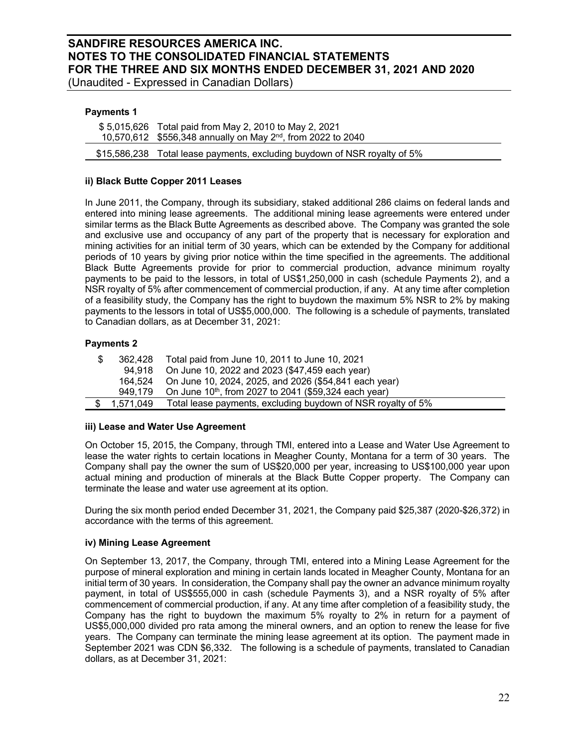## **Payments 1**

|  | \$5,015,626 Total paid from May 2, 2010 to May 2, 2021<br>10,570,612 \$556,348 annually on May 2 <sup>nd</sup> , from 2022 to 2040 |
|--|------------------------------------------------------------------------------------------------------------------------------------|
|  | \$15,586,238 Total lease payments, excluding buydown of NSR royalty of 5%                                                          |

## **ii) Black Butte Copper 2011 Leases**

In June 2011, the Company, through its subsidiary, staked additional 286 claims on federal lands and entered into mining lease agreements. The additional mining lease agreements were entered under similar terms as the Black Butte Agreements as described above. The Company was granted the sole and exclusive use and occupancy of any part of the property that is necessary for exploration and mining activities for an initial term of 30 years, which can be extended by the Company for additional periods of 10 years by giving prior notice within the time specified in the agreements. The additional Black Butte Agreements provide for prior to commercial production, advance minimum royalty payments to be paid to the lessors, in total of US\$1,250,000 in cash (schedule Payments 2), and a NSR royalty of 5% after commencement of commercial production, if any. At any time after completion of a feasibility study, the Company has the right to buydown the maximum 5% NSR to 2% by making payments to the lessors in total of US\$5,000,000. The following is a schedule of payments, translated to Canadian dollars, as at December 31, 2021:

## **Payments 2**

| \$<br>362.428 | Total paid from June 10, 2011 to June 10, 2021                    |
|---------------|-------------------------------------------------------------------|
|               | 94,918 On June 10, 2022 and 2023 (\$47,459 each year)             |
|               | 164,524 On June 10, 2024, 2025, and 2026 (\$54,841 each year)     |
| 949.179       | On June 10 <sup>th</sup> , from 2027 to 2041 (\$59,324 each year) |
| 1.571.049     | Total lease payments, excluding buydown of NSR royalty of 5%      |

## **iii) Lease and Water Use Agreement**

On October 15, 2015, the Company, through TMI, entered into a Lease and Water Use Agreement to lease the water rights to certain locations in Meagher County, Montana for a term of 30 years. The Company shall pay the owner the sum of US\$20,000 per year, increasing to US\$100,000 year upon actual mining and production of minerals at the Black Butte Copper property. The Company can terminate the lease and water use agreement at its option.

During the six month period ended December 31, 2021, the Company paid \$25,387 (2020-\$26,372) in accordance with the terms of this agreement.

## **iv) Mining Lease Agreement**

On September 13, 2017, the Company, through TMI, entered into a Mining Lease Agreement for the purpose of mineral exploration and mining in certain lands located in Meagher County, Montana for an initial term of 30 years. In consideration, the Company shall pay the owner an advance minimum royalty payment, in total of US\$555,000 in cash (schedule Payments 3), and a NSR royalty of 5% after commencement of commercial production, if any. At any time after completion of a feasibility study, the Company has the right to buydown the maximum 5% royalty to 2% in return for a payment of US\$5,000,000 divided pro rata among the mineral owners, and an option to renew the lease for five years. The Company can terminate the mining lease agreement at its option. The payment made in September 2021 was CDN \$6,332. The following is a schedule of payments, translated to Canadian dollars, as at December 31, 2021: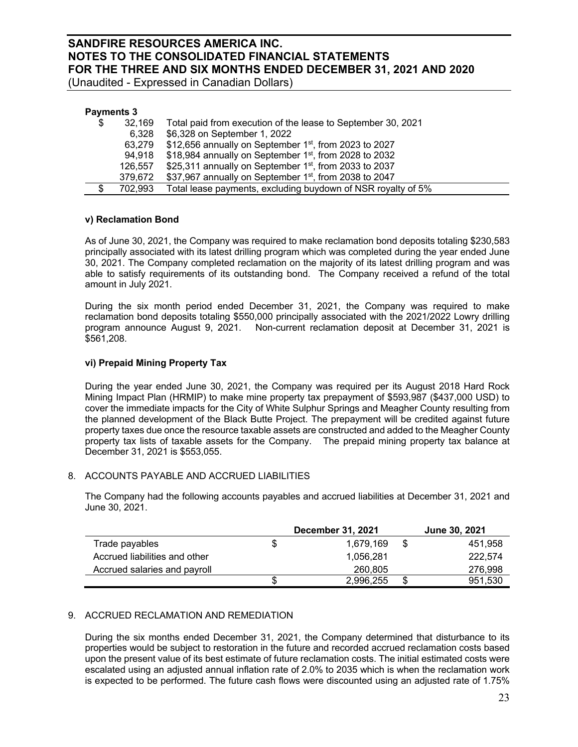| <b>Payments 3</b> |         |                                                                    |
|-------------------|---------|--------------------------------------------------------------------|
| \$                | 32.169  | Total paid from execution of the lease to September 30, 2021       |
|                   | 6.328   | \$6,328 on September 1, 2022                                       |
|                   | 63.279  | \$12,656 annually on September 1 <sup>st</sup> , from 2023 to 2027 |
|                   | 94,918  | \$18,984 annually on September 1 <sup>st</sup> , from 2028 to 2032 |
|                   | 126,557 | \$25,311 annually on September $1st$ , from 2033 to 2037           |
|                   | 379,672 | \$37,967 annually on September 1 <sup>st</sup> , from 2038 to 2047 |
| \$                | 702,993 | Total lease payments, excluding buydown of NSR royalty of 5%       |

### **v) Reclamation Bond**

As of June 30, 2021, the Company was required to make reclamation bond deposits totaling \$230,583 principally associated with its latest drilling program which was completed during the year ended June 30, 2021. The Company completed reclamation on the majority of its latest drilling program and was able to satisfy requirements of its outstanding bond. The Company received a refund of the total amount in July 2021.

During the six month period ended December 31, 2021, the Company was required to make reclamation bond deposits totaling \$550,000 principally associated with the 2021/2022 Lowry drilling program announce August 9, 2021. Non-current reclamation deposit at December 31, 2021 is \$561,208.

## **vi) Prepaid Mining Property Tax**

During the year ended June 30, 2021, the Company was required per its August 2018 Hard Rock Mining Impact Plan (HRMIP) to make mine property tax prepayment of \$593,987 (\$437,000 USD) to cover the immediate impacts for the City of White Sulphur Springs and Meagher County resulting from the planned development of the Black Butte Project. The prepayment will be credited against future property taxes due once the resource taxable assets are constructed and added to the Meagher County property tax lists of taxable assets for the Company. The prepaid mining property tax balance at December 31, 2021 is \$553,055.

## 8. ACCOUNTS PAYABLE AND ACCRUED LIABILITIES

The Company had the following accounts payables and accrued liabilities at December 31, 2021 and June 30, 2021.

|                               | <b>December 31, 2021</b> | <b>June 30, 2021</b> |         |  |
|-------------------------------|--------------------------|----------------------|---------|--|
| Trade payables                | 1.679.169                | S                    | 451,958 |  |
| Accrued liabilities and other | 1,056,281                |                      | 222.574 |  |
| Accrued salaries and payroll  | 260,805                  |                      | 276,998 |  |
|                               | 2,996,255                | S                    | 951,530 |  |

## 9. ACCRUED RECLAMATION AND REMEDIATION

During the six months ended December 31, 2021, the Company determined that disturbance to its properties would be subject to restoration in the future and recorded accrued reclamation costs based upon the present value of its best estimate of future reclamation costs. The initial estimated costs were escalated using an adjusted annual inflation rate of 2.0% to 2035 which is when the reclamation work is expected to be performed. The future cash flows were discounted using an adjusted rate of 1.75%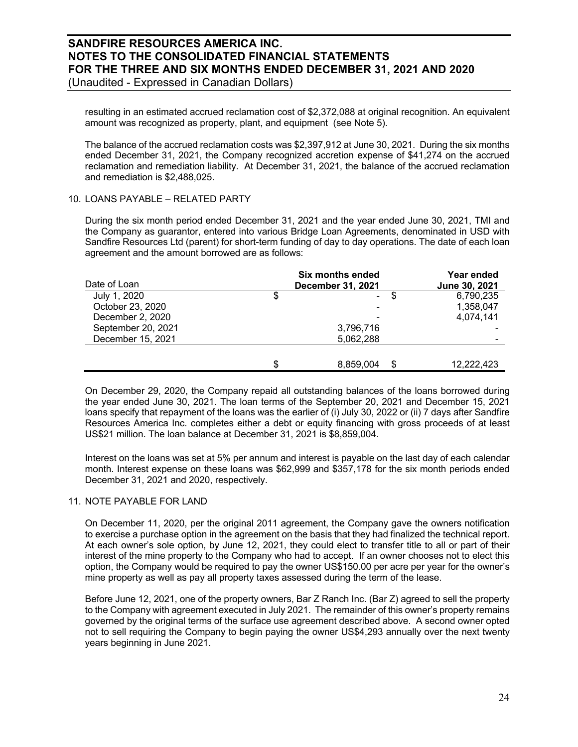resulting in an estimated accrued reclamation cost of \$2,372,088 at original recognition. An equivalent amount was recognized as property, plant, and equipment (see Note 5).

The balance of the accrued reclamation costs was \$2,397,912 at June 30, 2021. During the six months ended December 31, 2021, the Company recognized accretion expense of \$41,274 on the accrued reclamation and remediation liability. At December 31, 2021, the balance of the accrued reclamation and remediation is \$2,488,025.

### 10. LOANS PAYABLE – RELATED PARTY

During the six month period ended December 31, 2021 and the year ended June 30, 2021, TMI and the Company as guarantor, entered into various Bridge Loan Agreements, denominated in USD with Sandfire Resources Ltd (parent) for short-term funding of day to day operations. The date of each loan agreement and the amount borrowed are as follows:

| Date of Loan       | Six months ended<br>December 31, 2021 |           | Year ended<br>June 30, 2021 |            |  |
|--------------------|---------------------------------------|-----------|-----------------------------|------------|--|
| July 1, 2020       | \$                                    |           | S                           | 6,790,235  |  |
| October 23, 2020   |                                       |           |                             | 1,358,047  |  |
| December 2, 2020   |                                       |           |                             | 4,074,141  |  |
| September 20, 2021 |                                       | 3,796,716 |                             |            |  |
| December 15, 2021  |                                       | 5,062,288 |                             |            |  |
|                    |                                       |           |                             |            |  |
|                    | \$                                    | 8,859,004 | S                           | 12,222,423 |  |

On December 29, 2020, the Company repaid all outstanding balances of the loans borrowed during the year ended June 30, 2021. The loan terms of the September 20, 2021 and December 15, 2021 loans specify that repayment of the loans was the earlier of (i) July 30, 2022 or (ii) 7 days after Sandfire Resources America Inc. completes either a debt or equity financing with gross proceeds of at least US\$21 million. The loan balance at December 31, 2021 is \$8,859,004.

Interest on the loans was set at 5% per annum and interest is payable on the last day of each calendar month. Interest expense on these loans was \$62,999 and \$357,178 for the six month periods ended December 31, 2021 and 2020, respectively.

#### 11. NOTE PAYABLE FOR LAND

On December 11, 2020, per the original 2011 agreement, the Company gave the owners notification to exercise a purchase option in the agreement on the basis that they had finalized the technical report. At each owner's sole option, by June 12, 2021, they could elect to transfer title to all or part of their interest of the mine property to the Company who had to accept. If an owner chooses not to elect this option, the Company would be required to pay the owner US\$150.00 per acre per year for the owner's mine property as well as pay all property taxes assessed during the term of the lease.

Before June 12, 2021, one of the property owners, Bar Z Ranch Inc. (Bar Z) agreed to sell the property to the Company with agreement executed in July 2021. The remainder of this owner's property remains governed by the original terms of the surface use agreement described above. A second owner opted not to sell requiring the Company to begin paying the owner US\$4,293 annually over the next twenty years beginning in June 2021.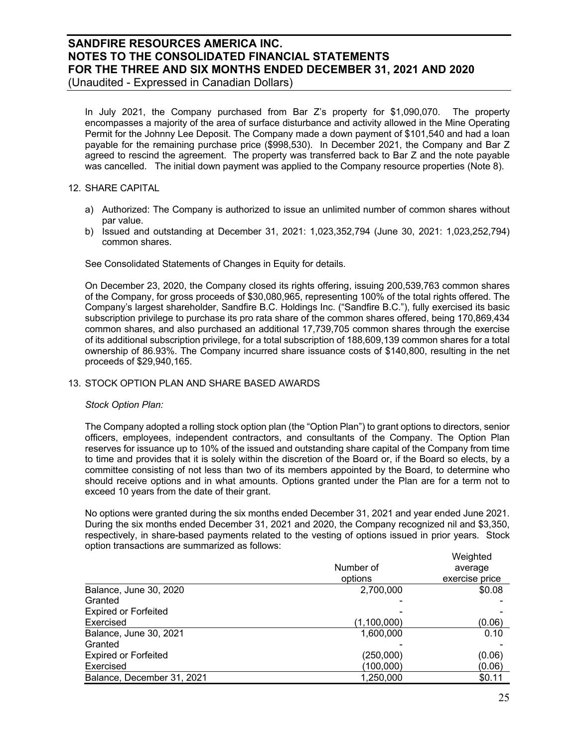# **SANDFIRE RESOURCES AMERICA INC. NOTES TO THE CONSOLIDATED FINANCIAL STATEMENTS FOR THE THREE AND SIX MONTHS ENDED DECEMBER 31, 2021 AND 2020**

(Unaudited - Expressed in Canadian Dollars)

In July 2021, the Company purchased from Bar Z's property for \$1,090,070. The property encompasses a majority of the area of surface disturbance and activity allowed in the Mine Operating Permit for the Johnny Lee Deposit. The Company made a down payment of \$101,540 and had a loan payable for the remaining purchase price (\$998,530). In December 2021, the Company and Bar Z agreed to rescind the agreement. The property was transferred back to Bar Z and the note payable was cancelled. The initial down payment was applied to the Company resource properties (Note 8).

## 12. SHARE CAPITAL

- a) Authorized: The Company is authorized to issue an unlimited number of common shares without par value.
- b) Issued and outstanding at December 31, 2021: 1,023,352,794 (June 30, 2021: 1,023,252,794) common shares.

See Consolidated Statements of Changes in Equity for details.

On December 23, 2020, the Company closed its rights offering, issuing 200,539,763 common shares of the Company, for gross proceeds of \$30,080,965, representing 100% of the total rights offered. The Company's largest shareholder, Sandfire B.C. Holdings Inc. ("Sandfire B.C."), fully exercised its basic subscription privilege to purchase its pro rata share of the common shares offered, being 170,869,434 common shares, and also purchased an additional 17,739,705 common shares through the exercise of its additional subscription privilege, for a total subscription of 188,609,139 common shares for a total ownership of 86.93%. The Company incurred share issuance costs of \$140,800, resulting in the net proceeds of \$29,940,165.

## 13. STOCK OPTION PLAN AND SHARE BASED AWARDS

## *Stock Option Plan:*

The Company adopted a rolling stock option plan (the "Option Plan") to grant options to directors, senior officers, employees, independent contractors, and consultants of the Company. The Option Plan reserves for issuance up to 10% of the issued and outstanding share capital of the Company from time to time and provides that it is solely within the discretion of the Board or, if the Board so elects, by a committee consisting of not less than two of its members appointed by the Board, to determine who should receive options and in what amounts. Options granted under the Plan are for a term not to exceed 10 years from the date of their grant.

No options were granted during the six months ended December 31, 2021 and year ended June 2021. During the six months ended December 31, 2021 and 2020, the Company recognized nil and \$3,350, respectively, in share-based payments related to the vesting of options issued in prior years. Stock option transactions are summarized as follows: Weighted

|                             |             | <i>vveignted</i> |
|-----------------------------|-------------|------------------|
|                             | Number of   | average          |
|                             | options     | exercise price   |
| Balance, June 30, 2020      | 2,700,000   | \$0.08           |
| Granted                     |             |                  |
| <b>Expired or Forfeited</b> |             |                  |
| Exercised                   | (1,100,000) | (0.06)           |
| Balance, June 30, 2021      | 1,600,000   | 0.10             |
| Granted                     |             |                  |
| <b>Expired or Forfeited</b> | (250,000)   | (0.06)           |
| Exercised                   | (100,000)   | (0.06)           |
| Balance, December 31, 2021  | 1,250,000   | \$0.11           |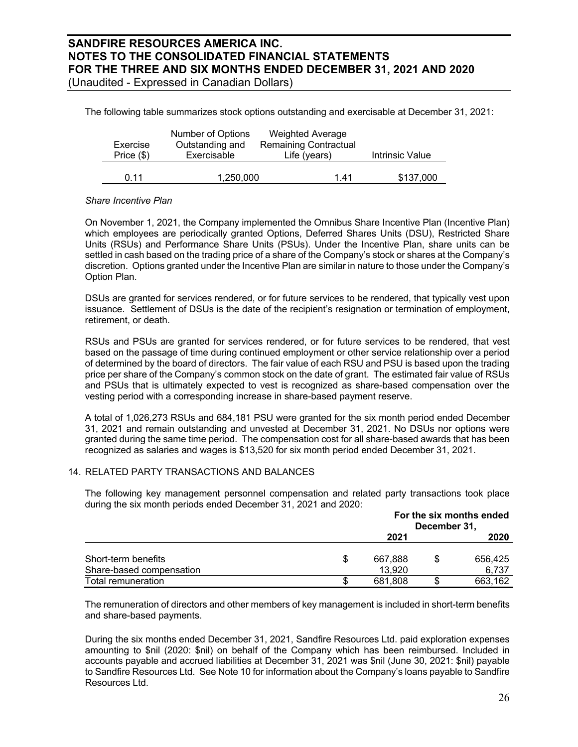The following table summarizes stock options outstanding and exercisable at December 31, 2021:

| Exercise     | Number of Options<br>Outstanding and | <b>Weighted Average</b><br><b>Remaining Contractual</b> |           |  |
|--------------|--------------------------------------|---------------------------------------------------------|-----------|--|
| Price $(\$)$ | Exercisable                          | Life (years)                                            |           |  |
| በ 11         |                                      | 141                                                     |           |  |
|              | 1,250,000                            |                                                         | \$137,000 |  |

### *Share Incentive Plan*

On November 1, 2021, the Company implemented the Omnibus Share Incentive Plan (Incentive Plan) which employees are periodically granted Options, Deferred Shares Units (DSU), Restricted Share Units (RSUs) and Performance Share Units (PSUs). Under the Incentive Plan, share units can be settled in cash based on the trading price of a share of the Company's stock or shares at the Company's discretion. Options granted under the Incentive Plan are similar in nature to those under the Company's Option Plan.

DSUs are granted for services rendered, or for future services to be rendered, that typically vest upon issuance. Settlement of DSUs is the date of the recipient's resignation or termination of employment, retirement, or death.

RSUs and PSUs are granted for services rendered, or for future services to be rendered, that vest based on the passage of time during continued employment or other service relationship over a period of determined by the board of directors. The fair value of each RSU and PSU is based upon the trading price per share of the Company's common stock on the date of grant. The estimated fair value of RSUs and PSUs that is ultimately expected to vest is recognized as share-based compensation over the vesting period with a corresponding increase in share-based payment reserve.

A total of 1,026,273 RSUs and 684,181 PSU were granted for the six month period ended December 31, 2021 and remain outstanding and unvested at December 31, 2021. No DSUs nor options were granted during the same time period. The compensation cost for all share-based awards that has been recognized as salaries and wages is \$13,520 for six month period ended December 31, 2021.

## 14. RELATED PARTY TRANSACTIONS AND BALANCES

The following key management personnel compensation and related party transactions took place during the six month periods ended December 31, 2021 and 2020:

|                          |     | For the six months ended<br>December 31, |    |         |  |  |
|--------------------------|-----|------------------------------------------|----|---------|--|--|
|                          |     | 2021                                     |    | 2020    |  |  |
| Short-term benefits      | \$. | 667.888                                  | \$ | 656.425 |  |  |
| Share-based compensation |     | 13.920                                   |    | 6.737   |  |  |
| Total remuneration       |     | 681.808                                  | S  | 663,162 |  |  |

The remuneration of directors and other members of key management is included in short-term benefits and share-based payments.

During the six months ended December 31, 2021, Sandfire Resources Ltd. paid exploration expenses amounting to \$nil (2020: \$nil) on behalf of the Company which has been reimbursed. Included in accounts payable and accrued liabilities at December 31, 2021 was \$nil (June 30, 2021: \$nil) payable to Sandfire Resources Ltd. See Note 10 for information about the Company's loans payable to Sandfire Resources Ltd.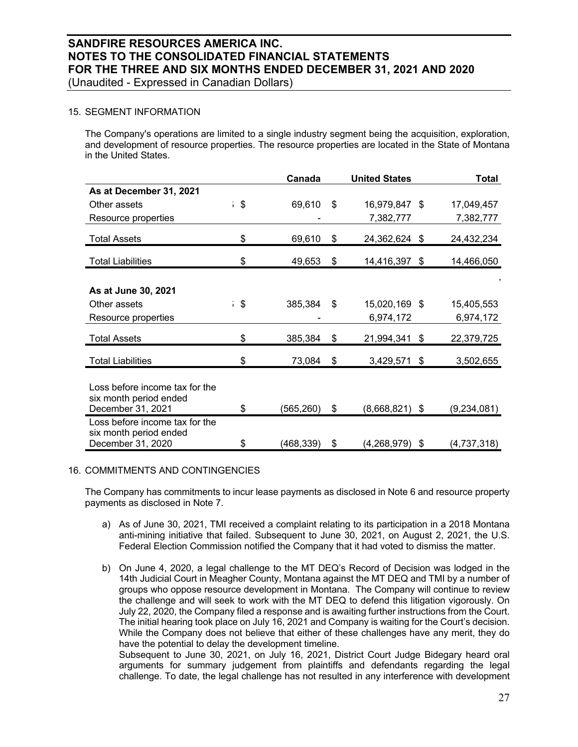## 15. SEGMENT INFORMATION

The Company's operations are limited to a single industry segment being the acquisition, exploration, and development of resource properties. The resource properties are located in the State of Montana in the United States.

|                                                          |      | Canada     |            | <b>United States</b> | <b>Total</b>      |
|----------------------------------------------------------|------|------------|------------|----------------------|-------------------|
| As at December 31, 2021                                  |      |            |            |                      |                   |
| Other assets                                             | : \$ | 69,610     | \$         | 16,979,847 \$        | 17,049,457        |
| Resource properties                                      |      |            |            | 7,382,777            | 7,382,777         |
| <b>Total Assets</b>                                      | \$   | 69,610     | \$         | 24,362,624 \$        | 24,432,234        |
| <b>Total Liabilities</b>                                 | \$   | 49,653     | \$         | 14,416,397           | \$<br>14,466,050  |
|                                                          |      |            |            |                      |                   |
| As at June 30, 2021                                      |      |            |            |                      |                   |
| Other assets                                             | : \$ | 385,384    | \$         | 15,020,169 \$        | 15,405,553        |
| Resource properties                                      |      |            |            | 6,974,172            | 6,974,172         |
| <b>Total Assets</b>                                      | \$   | 385,384    | \$         | 21,994,341 \$        | 22,379,725        |
| <b>Total Liabilities</b>                                 | \$   | 73,084     | \$         | 3,429,571 \$         | 3,502,655         |
|                                                          |      |            |            |                      |                   |
| Loss before income tax for the                           |      |            |            |                      |                   |
| six month period ended                                   |      |            |            |                      |                   |
| December 31, 2021                                        | \$   | (565, 260) | $\sqrt{3}$ | $(8,668,821)$ \$     | (9,234,081)       |
| Loss before income tax for the<br>six month period ended |      |            |            |                      |                   |
| December 31, 2020                                        | \$   | (468,339)  | \$         | (4,268,979)          | \$<br>(4,737,318) |

#### 16. COMMITMENTS AND CONTINGENCIES

The Company has commitments to incur lease payments as disclosed in Note 6 and resource property payments as disclosed in Note 7.

- a) As of June 30, 2021, TMI received a complaint relating to its participation in a 2018 Montana anti-mining initiative that failed. Subsequent to June 30, 2021, on August 2, 2021, the U.S. Federal Election Commission notified the Company that it had voted to dismiss the matter.
- b) On June 4, 2020, a legal challenge to the MT DEQ's Record of Decision was lodged in the 14th Judicial Court in Meagher County, Montana against the MT DEQ and TMI by a number of groups who oppose resource development in Montana. The Company will continue to review the challenge and will seek to work with the MT DEQ to defend this litigation vigorously. On July 22, 2020, the Company filed a response and is awaiting further instructions from the Court. The initial hearing took place on July 16, 2021 and Company is waiting for the Court's decision. While the Company does not believe that either of these challenges have any merit, they do have the potential to delay the development timeline.

Subsequent to June 30, 2021, on July 16, 2021, District Court Judge Bidegary heard oral arguments for summary judgement from plaintiffs and defendants regarding the legal challenge. To date, the legal challenge has not resulted in any interference with development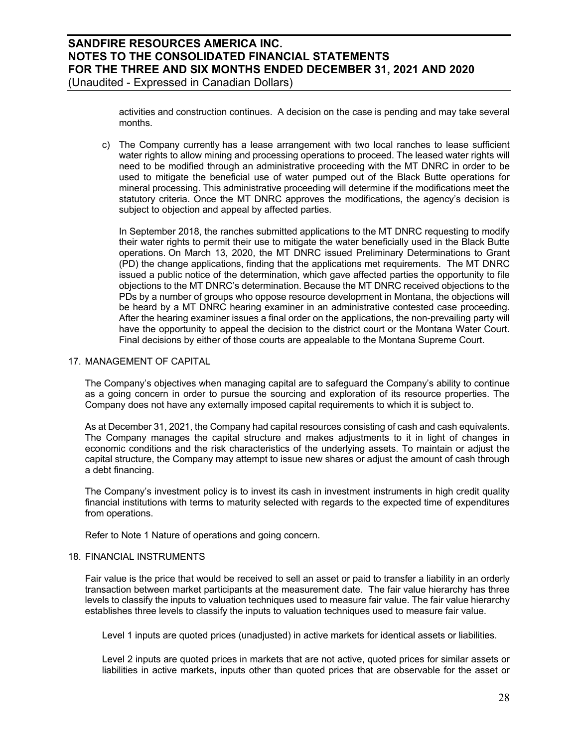activities and construction continues. A decision on the case is pending and may take several months.

c) The Company currently has a lease arrangement with two local ranches to lease sufficient water rights to allow mining and processing operations to proceed. The leased water rights will need to be modified through an administrative proceeding with the MT DNRC in order to be used to mitigate the beneficial use of water pumped out of the Black Butte operations for mineral processing. This administrative proceeding will determine if the modifications meet the statutory criteria. Once the MT DNRC approves the modifications, the agency's decision is subject to objection and appeal by affected parties.

In September 2018, the ranches submitted applications to the MT DNRC requesting to modify their water rights to permit their use to mitigate the water beneficially used in the Black Butte operations. On March 13, 2020, the MT DNRC issued Preliminary Determinations to Grant (PD) the change applications, finding that the applications met requirements. The MT DNRC issued a public notice of the determination, which gave affected parties the opportunity to file objections to the MT DNRC's determination. Because the MT DNRC received objections to the PDs by a number of groups who oppose resource development in Montana, the objections will be heard by a MT DNRC hearing examiner in an administrative contested case proceeding. After the hearing examiner issues a final order on the applications, the non-prevailing party will have the opportunity to appeal the decision to the district court or the Montana Water Court. Final decisions by either of those courts are appealable to the Montana Supreme Court.

#### 17. MANAGEMENT OF CAPITAL

The Company's objectives when managing capital are to safeguard the Company's ability to continue as a going concern in order to pursue the sourcing and exploration of its resource properties. The Company does not have any externally imposed capital requirements to which it is subject to.

As at December 31, 2021, the Company had capital resources consisting of cash and cash equivalents. The Company manages the capital structure and makes adjustments to it in light of changes in economic conditions and the risk characteristics of the underlying assets. To maintain or adjust the capital structure, the Company may attempt to issue new shares or adjust the amount of cash through a debt financing.

The Company's investment policy is to invest its cash in investment instruments in high credit quality financial institutions with terms to maturity selected with regards to the expected time of expenditures from operations.

Refer to Note 1 Nature of operations and going concern.

#### 18. FINANCIAL INSTRUMENTS

Fair value is the price that would be received to sell an asset or paid to transfer a liability in an orderly transaction between market participants at the measurement date. The fair value hierarchy has three levels to classify the inputs to valuation techniques used to measure fair value. The fair value hierarchy establishes three levels to classify the inputs to valuation techniques used to measure fair value.

Level 1 inputs are quoted prices (unadjusted) in active markets for identical assets or liabilities.

Level 2 inputs are quoted prices in markets that are not active, quoted prices for similar assets or liabilities in active markets, inputs other than quoted prices that are observable for the asset or